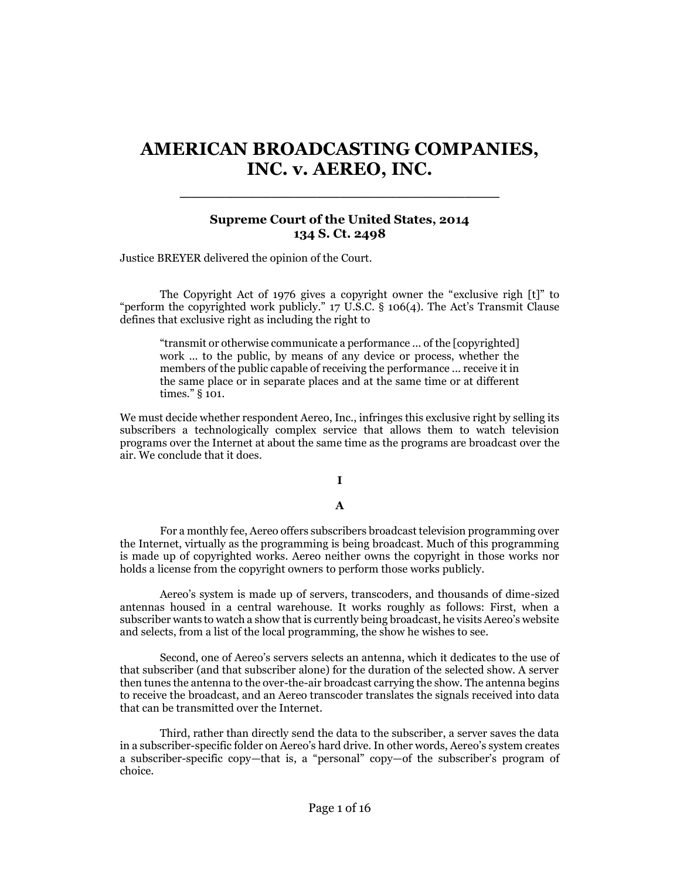# **AMERICAN BROADCASTING COMPANIES, INC. v. AEREO, INC.**

\_\_\_\_\_\_\_\_\_\_\_\_\_\_\_\_\_\_\_\_\_\_\_\_\_\_\_\_

## **Supreme Court of the United States, 2014 134 S. Ct. 2498**

Justice [BREYER](http://www.westlaw.com/Link/Document/FullText?findType=h&pubNum=176284&cite=0254766801&originatingDoc=I41c16b35fc7311e3b4bafa136b480ad2&refType=RQ&originationContext=document&vr=3.0&rs=cblt1.0&transitionType=DocumentItem&contextData=(sc.Search)) delivered the opinion of the Court.

The Copyright Act of 1976 gives a copyright owner the "exclusive righ [t]" to "perform the copyrighted work publicly." [17 U.S.C. § 106\(4\)](http://www.westlaw.com/Link/Document/FullText?findType=L&pubNum=1000546&cite=17USCAS106&originatingDoc=I41c16b35fc7311e3b4bafa136b480ad2&refType=RB&originationContext=document&vr=3.0&rs=cblt1.0&transitionType=DocumentItem&contextData=(sc.Search)#co_pp_0bd500007a412). The Act's Transmit Clause defines that exclusive right as including the right to

"transmit or otherwise communicate a performance ... of the [copyrighted] work ... to the public, by means of any device or process, whether the members of the public capable of receiving the performance ... receive it in the same place or in separate places and at the same time or at different times." [§ 101.](http://www.westlaw.com/Link/Document/FullText?findType=L&pubNum=1000546&cite=17USCAS101&originatingDoc=I41c16b35fc7311e3b4bafa136b480ad2&refType=LQ&originationContext=document&vr=3.0&rs=cblt1.0&transitionType=DocumentItem&contextData=(sc.Search))

We must decide whether respondent Aereo, Inc., infringes this exclusive right by selling its subscribers a technologically complex service that allows them to watch television programs over the Internet at about the same time as the programs are broadcast over the air. We conclude that it does.

# **I**

## **A**

For a monthly fee, Aereo offers subscribers broadcast television programming over the Internet, virtually as the programming is being broadcast. Much of this programming is made up of copyrighted works. Aereo neither owns the copyright in those works nor holds a license from the copyright owners to perform those works publicly.

Aereo's system is made up of servers, transcoders, and thousands of dime-sized antennas housed in a central warehouse. It works roughly as follows: First, when a subscriber wants to watch a show that is currently being broadcast, he visits Aereo's website and selects, from a list of the local programming, the show he wishes to see.

Second, one of Aereo's servers selects an antenna, which it dedicates to the use of that subscriber (and that subscriber alone) for the duration of the selected show. A server then tunes the antenna to the over-the-air broadcast carrying the show. The antenna begins to receive the broadcast, and an Aereo transcoder translates the signals received into data that can be transmitted over the Internet.

Third, rather than directly send the data to the subscriber, a server saves the data in a subscriber-specific folder on Aereo's hard drive. In other words, Aereo's system creates a subscriber-specific copy—that is, a "personal" copy—of the subscriber's program of choice.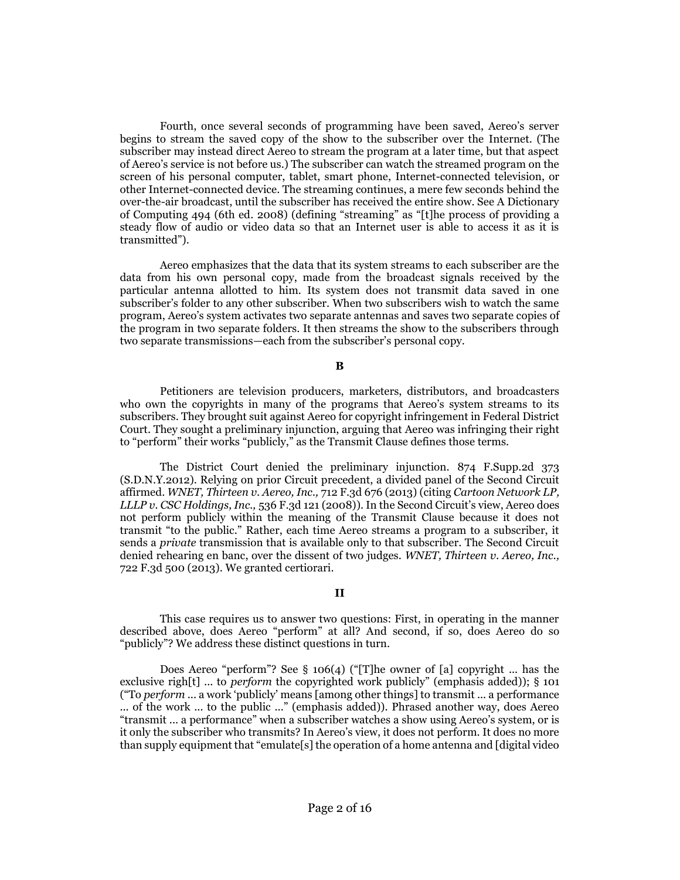Fourth, once several seconds of programming have been saved, Aereo's server begins to stream the saved copy of the show to the subscriber over the Internet. (The subscriber may instead direct Aereo to stream the program at a later time, but that aspect of Aereo's service is not before us.) The subscriber can watch the streamed program on the screen of his personal computer, tablet, smart phone, Internet-connected television, or other Internet-connected device. The streaming continues, a mere few seconds behind the over-the-air broadcast, until the subscriber has received the entire show. See A Dictionary of Computing 494 (6th ed. 2008) (defining "streaming" as "[t]he process of providing a steady flow of audio or video data so that an Internet user is able to access it as it is transmitted").

Aereo emphasizes that the data that its system streams to each subscriber are the data from his own personal copy, made from the broadcast signals received by the particular antenna allotted to him. Its system does not transmit data saved in one subscriber's folder to any other subscriber. When two subscribers wish to watch the same program, Aereo's system activates two separate antennas and saves two separate copies of the program in two separate folders. It then streams the show to the subscribers through two separate transmissions—each from the subscriber's personal copy.

**B**

Petitioners are television producers, marketers, distributors, and broadcasters who own the copyrights in many of the programs that Aereo's system streams to its subscribers. They brought suit against Aereo for copyright infringement in Federal District Court. They sought a preliminary injunction, arguing that Aereo was infringing their right to "perform" their works "publicly," as the Transmit Clause defines those terms.

The District Court denied the preliminary injunction. [874 F.Supp.2d 373](http://www.westlaw.com/Link/Document/FullText?findType=Y&serNum=2028182174&pubNum=4637&originatingDoc=I41c16b35fc7311e3b4bafa136b480ad2&refType=RP&originationContext=document&vr=3.0&rs=cblt1.0&transitionType=DocumentItem&contextData=(sc.Search))  [\(S.D.N.Y.2012\).](http://www.westlaw.com/Link/Document/FullText?findType=Y&serNum=2028182174&pubNum=4637&originatingDoc=I41c16b35fc7311e3b4bafa136b480ad2&refType=RP&originationContext=document&vr=3.0&rs=cblt1.0&transitionType=DocumentItem&contextData=(sc.Search)) Relying on prior Circuit precedent, a divided panel of the Second Circuit affirmed. *[WNET, Thirteen v. Aereo, Inc.,](http://www.westlaw.com/Link/Document/FullText?findType=Y&serNum=2030257137&pubNum=506&originatingDoc=I41c16b35fc7311e3b4bafa136b480ad2&refType=RP&originationContext=document&vr=3.0&rs=cblt1.0&transitionType=DocumentItem&contextData=(sc.Search))* 712 F.3d 676 (2013) (citing *[Cartoon Network LP,](http://www.westlaw.com/Link/Document/FullText?findType=Y&serNum=2016676234&pubNum=506&originatingDoc=I41c16b35fc7311e3b4bafa136b480ad2&refType=RP&originationContext=document&vr=3.0&rs=cblt1.0&transitionType=DocumentItem&contextData=(sc.Search))  [LLLP v. CSC Holdings, Inc.,](http://www.westlaw.com/Link/Document/FullText?findType=Y&serNum=2016676234&pubNum=506&originatingDoc=I41c16b35fc7311e3b4bafa136b480ad2&refType=RP&originationContext=document&vr=3.0&rs=cblt1.0&transitionType=DocumentItem&contextData=(sc.Search))* 536 F.3d 121 (2008)). In the Second Circuit's view, Aereo does not perform publicly within the meaning of the Transmit Clause because it does not transmit "to the public." Rather, each time Aereo streams a program to a subscriber, it sends a *private* transmission that is available only to that subscriber. The Second Circuit denied rehearing en banc, over the dissent of two judges. *[WNET, Thirteen v. Aereo, Inc.,](http://www.westlaw.com/Link/Document/FullText?findType=Y&serNum=2031070965&pubNum=506&originatingDoc=I41c16b35fc7311e3b4bafa136b480ad2&refType=RP&originationContext=document&vr=3.0&rs=cblt1.0&transitionType=DocumentItem&contextData=(sc.Search))* [722 F.3d 500 \(2013\).](http://www.westlaw.com/Link/Document/FullText?findType=Y&serNum=2031070965&pubNum=506&originatingDoc=I41c16b35fc7311e3b4bafa136b480ad2&refType=RP&originationContext=document&vr=3.0&rs=cblt1.0&transitionType=DocumentItem&contextData=(sc.Search)) We granted certiorari.

### **II**

This case requires us to answer two questions: First, in operating in the manner described above, does Aereo "perform" at all? And second, if so, does Aereo do so "publicly"? We address these distinct questions in turn.

Does Aereo "perform"? See [§ 106\(4\)](http://www.westlaw.com/Link/Document/FullText?findType=L&pubNum=1000546&cite=17USCAS106&originatingDoc=I41c16b35fc7311e3b4bafa136b480ad2&refType=RB&originationContext=document&vr=3.0&rs=cblt1.0&transitionType=DocumentItem&contextData=(sc.Search)#co_pp_0bd500007a412) ("[T]he owner of [a] copyright ... has the exclusive righ[t] ... to *perform* the copyrighted work publicly" (emphasis added)); [§ 101](http://www.westlaw.com/Link/Document/FullText?findType=L&pubNum=1000546&cite=17USCAS101&originatingDoc=I41c16b35fc7311e3b4bafa136b480ad2&refType=LQ&originationContext=document&vr=3.0&rs=cblt1.0&transitionType=DocumentItem&contextData=(sc.Search)) ("To *perform* ... a work 'publicly' means [among other things] to transmit ... a performance ... of the work ... to the public ..." (emphasis added)). Phrased another way, does Aereo "transmit ... a performance" when a subscriber watches a show using Aereo's system, or is it only the subscriber who transmits? In Aereo's view, it does not perform. It does no more than supply equipment that "emulate[s] the operation of a home antenna and [digital video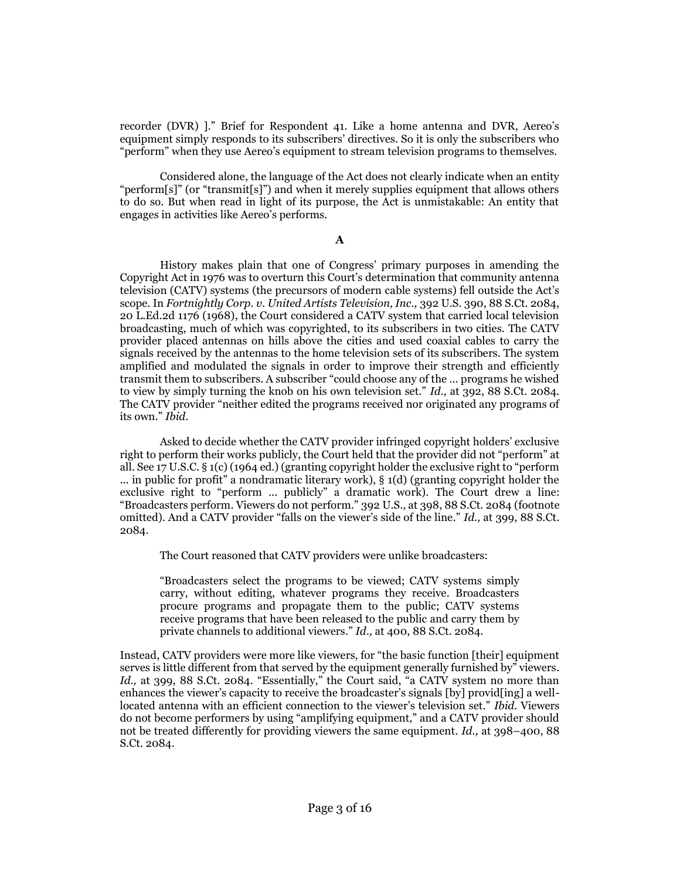recorder (DVR) ]." Brief for Respondent 41. Like a home antenna and DVR, Aereo's equipment simply responds to its subscribers' directives. So it is only the subscribers who "perform" when they use Aereo's equipment to stream television programs to themselves.

Considered alone, the language of the Act does not clearly indicate when an entity "perform[s]" (or "transmit[s]") and when it merely supplies equipment that allows others to do so. But when read in light of its purpose, the Act is unmistakable: An entity that engages in activities like Aereo's performs.

**A**

History makes plain that one of Congress' primary purposes in amending the Copyright Act in 1976 was to overturn this Court's determination that community antenna television (CATV) systems (the precursors of modern cable systems) fell outside the Act's scope. In *[Fortnightly Corp. v. United Artists Television, Inc.,](http://www.westlaw.com/Link/Document/FullText?findType=Y&serNum=1968131226&pubNum=708&originatingDoc=I41c16b35fc7311e3b4bafa136b480ad2&refType=RP&originationContext=document&vr=3.0&rs=cblt1.0&transitionType=DocumentItem&contextData=(sc.Search))* 392 U.S. 390, 88 S.Ct. 2084, [20 L.Ed.2d 1176 \(1968\),](http://www.westlaw.com/Link/Document/FullText?findType=Y&serNum=1968131226&pubNum=708&originatingDoc=I41c16b35fc7311e3b4bafa136b480ad2&refType=RP&originationContext=document&vr=3.0&rs=cblt1.0&transitionType=DocumentItem&contextData=(sc.Search)) the Court considered a CATV system that carried local television broadcasting, much of which was copyrighted, to its subscribers in two cities. The CATV provider placed antennas on hills above the cities and used coaxial cables to carry the signals received by the antennas to the home television sets of its subscribers. The system amplified and modulated the signals in order to improve their strength and efficiently transmit them to subscribers. A subscriber "could choose any of the ... programs he wished to view by simply turning the knob on his own television set." *Id.,* [at 392, 88 S.Ct. 2084.](http://www.westlaw.com/Link/Document/FullText?findType=Y&serNum=1968131226&pubNum=708&originatingDoc=I41c16b35fc7311e3b4bafa136b480ad2&refType=RP&originationContext=document&vr=3.0&rs=cblt1.0&transitionType=DocumentItem&contextData=(sc.Search)) The CATV provider "neither edited the programs received nor originated any programs of its own." *[Ibid.](http://www.westlaw.com/Link/Document/FullText?findType=Y&serNum=1968131226&originatingDoc=I41c16b35fc7311e3b4bafa136b480ad2&refType=RP&originationContext=document&vr=3.0&rs=cblt1.0&transitionType=DocumentItem&contextData=(sc.Search))*

Asked to decide whether the CATV provider infringed copyright holders' exclusive right to perform their works publicly, the Court held that the provider did not "perform" at all. See 17 U.S.C. § 1(c) (1964 ed.) (granting copyright holder the exclusive right to "perform ... in public for profit" a nondramatic literary work), § 1(d) (granting copyright holder the exclusive right to "perform ... publicly" a dramatic work). The Court drew a line: "Broadcasters perform. Viewers do not perform." [392 U.S., at 398, 88 S.Ct. 2084](http://www.westlaw.com/Link/Document/FullText?findType=Y&serNum=1968131226&pubNum=708&originatingDoc=I41c16b35fc7311e3b4bafa136b480ad2&refType=RP&originationContext=document&vr=3.0&rs=cblt1.0&transitionType=DocumentItem&contextData=(sc.Search)) (footnote omitted). And a CATV provider "falls on the viewer's side of the line." *Id.,* [at 399, 88 S.Ct.](http://www.westlaw.com/Link/Document/FullText?findType=Y&serNum=1968131226&pubNum=708&originatingDoc=I41c16b35fc7311e3b4bafa136b480ad2&refType=RP&originationContext=document&vr=3.0&rs=cblt1.0&transitionType=DocumentItem&contextData=(sc.Search))  [2084.](http://www.westlaw.com/Link/Document/FullText?findType=Y&serNum=1968131226&pubNum=708&originatingDoc=I41c16b35fc7311e3b4bafa136b480ad2&refType=RP&originationContext=document&vr=3.0&rs=cblt1.0&transitionType=DocumentItem&contextData=(sc.Search))

The Court reasoned that CATV providers were unlike broadcasters:

"Broadcasters select the programs to be viewed; CATV systems simply carry, without editing, whatever programs they receive. Broadcasters procure programs and propagate them to the public; CATV systems receive programs that have been released to the public and carry them by private channels to additional viewers." *Id.,* [at 400, 88 S.Ct. 2084.](http://www.westlaw.com/Link/Document/FullText?findType=Y&serNum=1968131226&pubNum=708&originatingDoc=I41c16b35fc7311e3b4bafa136b480ad2&refType=RP&originationContext=document&vr=3.0&rs=cblt1.0&transitionType=DocumentItem&contextData=(sc.Search))

Instead, CATV providers were more like viewers, for "the basic function [their] equipment serves is little different from that served by the equipment generally furnished by" viewers. Id., [at 399, 88 S.Ct. 2084.](http://www.westlaw.com/Link/Document/FullText?findType=Y&serNum=1968131226&pubNum=708&originatingDoc=I41c16b35fc7311e3b4bafa136b480ad2&refType=RP&originationContext=document&vr=3.0&rs=cblt1.0&transitionType=DocumentItem&contextData=(sc.Search)) "Essentially," the Court said, "a CATV system no more than enhances the viewer's capacity to receive the broadcaster's signals [by] provid[ing] a welllocated antenna with an efficient connection to the viewer's television set." *[Ibid.](http://www.westlaw.com/Link/Document/FullText?findType=Y&serNum=1968131226&originatingDoc=I41c16b35fc7311e3b4bafa136b480ad2&refType=RP&originationContext=document&vr=3.0&rs=cblt1.0&transitionType=DocumentItem&contextData=(sc.Search))* Viewers do not become performers by using "amplifying equipment," and a CATV provider should not be treated differently for providing viewers the same equipment. *Id.,* at 398–[400, 88](http://www.westlaw.com/Link/Document/FullText?findType=Y&serNum=1968131226&pubNum=708&originatingDoc=I41c16b35fc7311e3b4bafa136b480ad2&refType=RP&originationContext=document&vr=3.0&rs=cblt1.0&transitionType=DocumentItem&contextData=(sc.Search))  [S.Ct. 2084.](http://www.westlaw.com/Link/Document/FullText?findType=Y&serNum=1968131226&pubNum=708&originatingDoc=I41c16b35fc7311e3b4bafa136b480ad2&refType=RP&originationContext=document&vr=3.0&rs=cblt1.0&transitionType=DocumentItem&contextData=(sc.Search))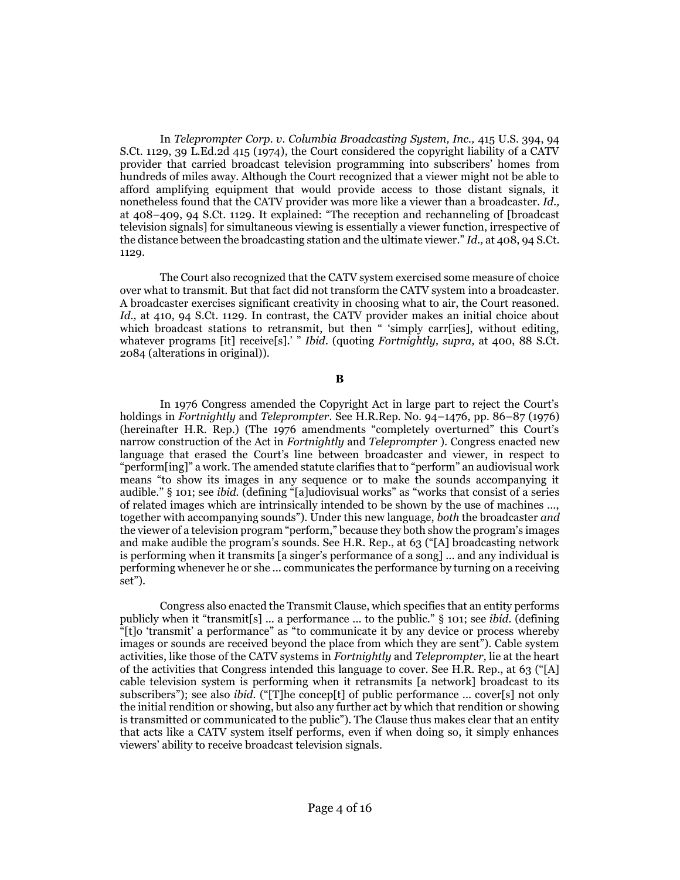In *[Teleprompter Corp. v. Columbia Broadcasting System, Inc.,](http://www.westlaw.com/Link/Document/FullText?findType=Y&serNum=1974127140&pubNum=708&originatingDoc=I41c16b35fc7311e3b4bafa136b480ad2&refType=RP&originationContext=document&vr=3.0&rs=cblt1.0&transitionType=DocumentItem&contextData=(sc.Search))* 415 U.S. 394, 94 [S.Ct. 1129, 39 L.Ed.2d 415 \(1974\),](http://www.westlaw.com/Link/Document/FullText?findType=Y&serNum=1974127140&pubNum=708&originatingDoc=I41c16b35fc7311e3b4bafa136b480ad2&refType=RP&originationContext=document&vr=3.0&rs=cblt1.0&transitionType=DocumentItem&contextData=(sc.Search)) the Court considered the copyright liability of a CATV provider that carried broadcast television programming into subscribers' homes from hundreds of miles away. Although the Court recognized that a viewer might not be able to afford amplifying equipment that would provide access to those distant signals, it nonetheless found that the CATV provider was more like a viewer than a broadcaster. *[Id.,](http://www.westlaw.com/Link/Document/FullText?findType=Y&serNum=1974127140&pubNum=708&originatingDoc=I41c16b35fc7311e3b4bafa136b480ad2&refType=RP&originationContext=document&vr=3.0&rs=cblt1.0&transitionType=DocumentItem&contextData=(sc.Search))* at 408–[409, 94 S.Ct. 1129.](http://www.westlaw.com/Link/Document/FullText?findType=Y&serNum=1974127140&pubNum=708&originatingDoc=I41c16b35fc7311e3b4bafa136b480ad2&refType=RP&originationContext=document&vr=3.0&rs=cblt1.0&transitionType=DocumentItem&contextData=(sc.Search)) It explained: "The reception and rechanneling of [broadcast television signals] for simultaneous viewing is essentially a viewer function, irrespective of the distance between the broadcasting station and the ultimate viewer." *Id.,* [at 408, 94 S.Ct.](http://www.westlaw.com/Link/Document/FullText?findType=Y&serNum=1974127140&pubNum=708&originatingDoc=I41c16b35fc7311e3b4bafa136b480ad2&refType=RP&originationContext=document&vr=3.0&rs=cblt1.0&transitionType=DocumentItem&contextData=(sc.Search))  [1129.](http://www.westlaw.com/Link/Document/FullText?findType=Y&serNum=1974127140&pubNum=708&originatingDoc=I41c16b35fc7311e3b4bafa136b480ad2&refType=RP&originationContext=document&vr=3.0&rs=cblt1.0&transitionType=DocumentItem&contextData=(sc.Search))

The Court also recognized that the CATV system exercised some measure of choice over what to transmit. But that fact did not transform the CATV system into a broadcaster. A broadcaster exercises significant creativity in choosing what to air, the Court reasoned. *Id.,* [at 410, 94 S.Ct. 1129.](http://www.westlaw.com/Link/Document/FullText?findType=Y&serNum=1974127140&pubNum=708&originatingDoc=I41c16b35fc7311e3b4bafa136b480ad2&refType=RP&originationContext=document&vr=3.0&rs=cblt1.0&transitionType=DocumentItem&contextData=(sc.Search)) In contrast, the CATV provider makes an initial choice about which broadcast stations to retransmit, but then " 'simply carr[ies], without editing, whatever programs [it] receive[s].' " *[Ibid.](http://www.westlaw.com/Link/Document/FullText?findType=Y&serNum=1974127140&originatingDoc=I41c16b35fc7311e3b4bafa136b480ad2&refType=RP&originationContext=document&vr=3.0&rs=cblt1.0&transitionType=DocumentItem&contextData=(sc.Search))* (quoting *Fortnightly, supra,* [at 400, 88 S.Ct.](http://www.westlaw.com/Link/Document/FullText?findType=Y&serNum=1968131226&pubNum=708&originatingDoc=I41c16b35fc7311e3b4bafa136b480ad2&refType=RP&originationContext=document&vr=3.0&rs=cblt1.0&transitionType=DocumentItem&contextData=(sc.Search))  [2084](http://www.westlaw.com/Link/Document/FullText?findType=Y&serNum=1968131226&pubNum=708&originatingDoc=I41c16b35fc7311e3b4bafa136b480ad2&refType=RP&originationContext=document&vr=3.0&rs=cblt1.0&transitionType=DocumentItem&contextData=(sc.Search)) (alterations in original)).

#### **B**

In 1976 Congress amended the Copyright Act in large part to reject the Court's holdings in *[Fortnightly](http://www.westlaw.com/Link/Document/FullText?findType=Y&serNum=1968131226&originatingDoc=I41c16b35fc7311e3b4bafa136b480ad2&refType=RP&originationContext=document&vr=3.0&rs=cblt1.0&transitionType=DocumentItem&contextData=(sc.Search))* and *[Teleprompter](http://www.westlaw.com/Link/Document/FullText?findType=Y&serNum=1974127140&originatingDoc=I41c16b35fc7311e3b4bafa136b480ad2&refType=RP&originationContext=document&vr=3.0&rs=cblt1.0&transitionType=DocumentItem&contextData=(sc.Search))*. See [H.R.Rep. No. 94](http://www.westlaw.com/Link/Document/FullText?findType=Y&serNum=0100747631&pubNum=0100014&originatingDoc=I41c16b35fc7311e3b4bafa136b480ad2&refType=TV&originationContext=document&vr=3.0&rs=cblt1.0&transitionType=DocumentItem&contextData=(sc.Search))–1476, pp. 86–87 (1976) (hereinafter H.R. Rep.) (The 1976 amendments "completely overturned" this Court's narrow construction of the Act in *[Fortnightly](http://www.westlaw.com/Link/Document/FullText?findType=Y&serNum=1968131226&originatingDoc=I41c16b35fc7311e3b4bafa136b480ad2&refType=RP&originationContext=document&vr=3.0&rs=cblt1.0&transitionType=DocumentItem&contextData=(sc.Search))* and *[Teleprompter](http://www.westlaw.com/Link/Document/FullText?findType=Y&serNum=1974127140&originatingDoc=I41c16b35fc7311e3b4bafa136b480ad2&refType=RP&originationContext=document&vr=3.0&rs=cblt1.0&transitionType=DocumentItem&contextData=(sc.Search))* ). Congress enacted new language that erased the Court's line between broadcaster and viewer, in respect to "perform[ing]" a work. The amended statute clarifies that to "perform" an audiovisual work means "to show its images in any sequence or to make the sounds accompanying it audible." [§ 101;](http://www.westlaw.com/Link/Document/FullText?findType=L&pubNum=1000546&cite=17USCAS101&originatingDoc=I41c16b35fc7311e3b4bafa136b480ad2&refType=LQ&originationContext=document&vr=3.0&rs=cblt1.0&transitionType=DocumentItem&contextData=(sc.Search)) see *ibid.* (defining "[a]udiovisual works" as "works that consist of a series of related images which are intrinsically intended to be shown by the use of machines ..., together with accompanying sounds"). Under this new language, *both* the broadcaster *and* the viewer of a television program "perform," because they both show the program's images and make audible the program's sounds. See H.R. Rep., at 63 ("[A] broadcasting network is performing when it transmits [a singer's performance of a song] ... and any individual is performing whenever he or she ... communicates the performance by turning on a receiving set").

Congress also enacted the Transmit Clause, which specifies that an entity performs publicly when it "transmit[s] ... a performance ... to the public." [§ 101;](http://www.westlaw.com/Link/Document/FullText?findType=L&pubNum=1000546&cite=17USCAS101&originatingDoc=I41c16b35fc7311e3b4bafa136b480ad2&refType=LQ&originationContext=document&vr=3.0&rs=cblt1.0&transitionType=DocumentItem&contextData=(sc.Search)) see *ibid.* (defining "[t]o 'transmit' a performance" as "to communicate it by any device or process whereby images or sounds are received beyond the place from which they are sent"). Cable system activities, like those of the CATV systems in *[Fortnightly](http://www.westlaw.com/Link/Document/FullText?findType=Y&serNum=1968131226&originatingDoc=I41c16b35fc7311e3b4bafa136b480ad2&refType=RP&originationContext=document&vr=3.0&rs=cblt1.0&transitionType=DocumentItem&contextData=(sc.Search))* and *[Teleprompter,](http://www.westlaw.com/Link/Document/FullText?findType=Y&serNum=1974127140&originatingDoc=I41c16b35fc7311e3b4bafa136b480ad2&refType=RP&originationContext=document&vr=3.0&rs=cblt1.0&transitionType=DocumentItem&contextData=(sc.Search))* lie at the heart of the activities that Congress intended this language to cover. See H.R. Rep., at 63 ("[A] cable television system is performing when it retransmits [a network] broadcast to its subscribers"); see also *ibid.* ("[T]he concep[t] of public performance ... cover[s] not only the initial rendition or showing, but also any further act by which that rendition or showing is transmitted or communicated to the public"). The Clause thus makes clear that an entity that acts like a CATV system itself performs, even if when doing so, it simply enhances viewers' ability to receive broadcast television signals.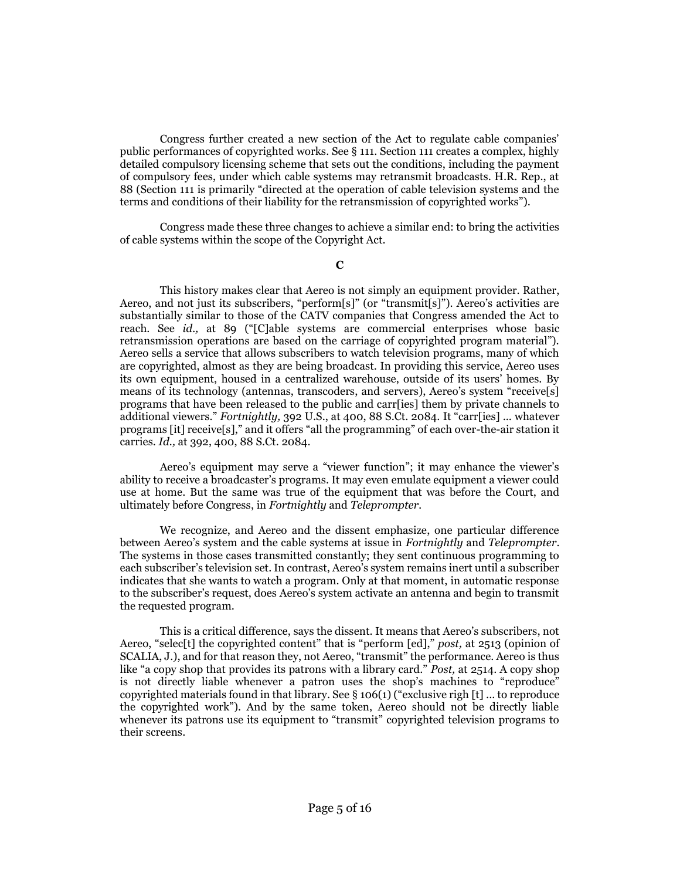Congress further created a new section of the Act to regulate cable companies' public performances of copyrighted works. See § 111. Section 111 creates a complex, highly detailed compulsory licensing scheme that sets out the conditions, including the payment of compulsory fees, under which cable systems may retransmit broadcasts. H.R. Rep., at 88 (Section 111 is primarily "directed at the operation of cable television systems and the terms and conditions of their liability for the retransmission of copyrighted works").

Congress made these three changes to achieve a similar end: to bring the activities of cable systems within the scope of the Copyright Act.

**C**

This history makes clear that Aereo is not simply an equipment provider. Rather, Aereo, and not just its subscribers, "perform[s]" (or "transmit[s]"). Aereo's activities are substantially similar to those of the CATV companies that Congress amended the Act to reach. See *id.,* at 89 ("[C]able systems are commercial enterprises whose basic retransmission operations are based on the carriage of copyrighted program material"). Aereo sells a service that allows subscribers to watch television programs, many of which are copyrighted, almost as they are being broadcast. In providing this service, Aereo uses its own equipment, housed in a centralized warehouse, outside of its users' homes. By means of its technology (antennas, transcoders, and servers), Aereo's system "receive[s] programs that have been released to the public and carr[ies] them by private channels to additional viewers." *Fortnightly,* [392 U.S., at 400, 88 S.Ct. 2084.](http://www.westlaw.com/Link/Document/FullText?findType=Y&serNum=1968131226&pubNum=708&originatingDoc=I41c16b35fc7311e3b4bafa136b480ad2&refType=RP&originationContext=document&vr=3.0&rs=cblt1.0&transitionType=DocumentItem&contextData=(sc.Search)) It "carr[ies] ... whatever programs [it] receive[s]," and it offers "all the programming" of each over-the-air station it carries. *Id.,* [at 392, 400, 88 S.Ct. 2084.](http://www.westlaw.com/Link/Document/FullText?findType=Y&serNum=1968131226&pubNum=708&originatingDoc=I41c16b35fc7311e3b4bafa136b480ad2&refType=RP&originationContext=document&vr=3.0&rs=cblt1.0&transitionType=DocumentItem&contextData=(sc.Search))

Aereo's equipment may serve a "viewer function"; it may enhance the viewer's ability to receive a broadcaster's programs. It may even emulate equipment a viewer could use at home. But the same was true of the equipment that was before the Court, and ultimately before Congress, in *[Fortnightly](http://www.westlaw.com/Link/Document/FullText?findType=Y&serNum=1968131226&originatingDoc=I41c16b35fc7311e3b4bafa136b480ad2&refType=RP&originationContext=document&vr=3.0&rs=cblt1.0&transitionType=DocumentItem&contextData=(sc.Search))* and *[Teleprompter.](http://www.westlaw.com/Link/Document/FullText?findType=Y&serNum=1974127140&originatingDoc=I41c16b35fc7311e3b4bafa136b480ad2&refType=RP&originationContext=document&vr=3.0&rs=cblt1.0&transitionType=DocumentItem&contextData=(sc.Search))*

We recognize, and Aereo and the dissent emphasize, one particular difference between Aereo's system and the cable systems at issue in *[Fortnightly](http://www.westlaw.com/Link/Document/FullText?findType=Y&serNum=1968131226&originatingDoc=I41c16b35fc7311e3b4bafa136b480ad2&refType=RP&originationContext=document&vr=3.0&rs=cblt1.0&transitionType=DocumentItem&contextData=(sc.Search))* and *[Teleprompter](http://www.westlaw.com/Link/Document/FullText?findType=Y&serNum=1974127140&originatingDoc=I41c16b35fc7311e3b4bafa136b480ad2&refType=RP&originationContext=document&vr=3.0&rs=cblt1.0&transitionType=DocumentItem&contextData=(sc.Search))*. The systems in those cases transmitted constantly; they sent continuous programming to each subscriber's television set. In contrast, Aereo's system remains inert until a subscriber indicates that she wants to watch a program. Only at that moment, in automatic response to the subscriber's request, does Aereo's system activate an antenna and begin to transmit the requested program.

This is a critical difference, says the dissent. It means that Aereo's subscribers, not Aereo, "selec[t] the copyrighted content" that is "perform [ed]," *post,* at 2513 (opinion of SCALIA, J.), and for that reason they, not Aereo, "transmit" the performance. Aereo is thus like "a copy shop that provides its patrons with a library card." *Post,* at 2514. A copy shop is not directly liable whenever a patron uses the shop's machines to "reproduce" copyrighted materials found in that library. See  $\S$  106(1) ("exclusive righ [t] ... to reproduce the copyrighted work"). And by the same token, Aereo should not be directly liable whenever its patrons use its equipment to "transmit" copyrighted television programs to their screens.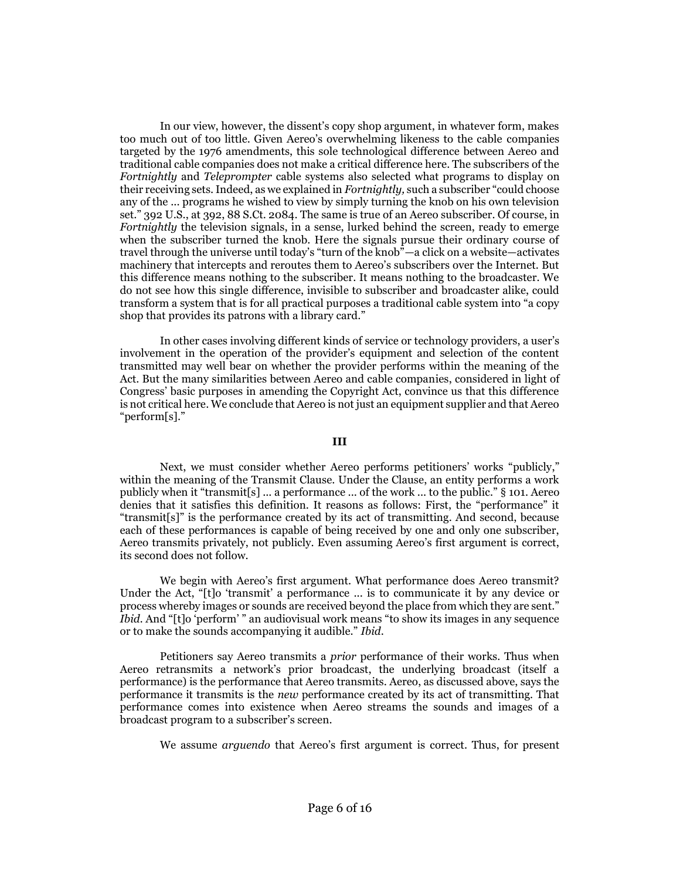In our view, however, the dissent's copy shop argument, in whatever form, makes too much out of too little. Given Aereo's overwhelming likeness to the cable companies targeted by the 1976 amendments, this sole technological difference between Aereo and traditional cable companies does not make a critical difference here. The subscribers of the *[Fortnightly](http://www.westlaw.com/Link/Document/FullText?findType=Y&serNum=1968131226&originatingDoc=I41c16b35fc7311e3b4bafa136b480ad2&refType=RP&originationContext=document&vr=3.0&rs=cblt1.0&transitionType=DocumentItem&contextData=(sc.Search))* and *[Teleprompter](http://www.westlaw.com/Link/Document/FullText?findType=Y&serNum=1974127140&originatingDoc=I41c16b35fc7311e3b4bafa136b480ad2&refType=RP&originationContext=document&vr=3.0&rs=cblt1.0&transitionType=DocumentItem&contextData=(sc.Search))* cable systems also selected what programs to display on their receiving sets. Indeed, as we explained in *[Fortnightly,](http://www.westlaw.com/Link/Document/FullText?findType=Y&serNum=1968131226&originatingDoc=I41c16b35fc7311e3b4bafa136b480ad2&refType=RP&originationContext=document&vr=3.0&rs=cblt1.0&transitionType=DocumentItem&contextData=(sc.Search))* such a subscriber "could choose any of the ... programs he wished to view by simply turning the knob on his own television set." [392 U.S., at 392, 88 S.Ct. 2084.](http://www.westlaw.com/Link/Document/FullText?findType=Y&serNum=1968131226&pubNum=708&originatingDoc=I41c16b35fc7311e3b4bafa136b480ad2&refType=RP&originationContext=document&vr=3.0&rs=cblt1.0&transitionType=DocumentItem&contextData=(sc.Search)) The same is true of an Aereo subscriber. Of course, in *Fortnightly* the television signals, in a sense, lurked behind the screen, ready to emerge when the subscriber turned the knob. Here the signals pursue their ordinary course of travel through the universe until today's "turn of the knob"—a click on a website—activates machinery that intercepts and reroutes them to Aereo's subscribers over the Internet. But this difference means nothing to the subscriber. It means nothing to the broadcaster. We do not see how this single difference, invisible to subscriber and broadcaster alike, could transform a system that is for all practical purposes a traditional cable system into "a copy shop that provides its patrons with a library card."

In other cases involving different kinds of service or technology providers, a user's involvement in the operation of the provider's equipment and selection of the content transmitted may well bear on whether the provider performs within the meaning of the Act. But the many similarities between Aereo and cable companies, considered in light of Congress' basic purposes in amending the Copyright Act, convince us that this difference is not critical here. We conclude that Aereo is not just an equipment supplier and that Aereo "perform[s]."

#### **III**

Next, we must consider whether Aereo performs petitioners' works "publicly," within the meaning of the Transmit Clause. Under the Clause, an entity performs a work publicly when it "transmit[s] ... a performance ... of the work ... to the public." [§ 101.](http://www.westlaw.com/Link/Document/FullText?findType=L&pubNum=1000546&cite=17USCAS101&originatingDoc=I41c16b35fc7311e3b4bafa136b480ad2&refType=LQ&originationContext=document&vr=3.0&rs=cblt1.0&transitionType=DocumentItem&contextData=(sc.Search)) Aereo denies that it satisfies this definition. It reasons as follows: First, the "performance" it "transmit[s]" is the performance created by its act of transmitting. And second, because each of these performances is capable of being received by one and only one subscriber, Aereo transmits privately, not publicly. Even assuming Aereo's first argument is correct, its second does not follow.

We begin with Aereo's first argument. What performance does Aereo transmit? Under the Act, "[t]o 'transmit' a performance ... is to communicate it by any device or process whereby images or sounds are received beyond the place from which they are sent." *Ibid.* And "[t]o 'perform' " an audiovisual work means "to show its images in any sequence or to make the sounds accompanying it audible." *Ibid*.

Petitioners say Aereo transmits a *prior* performance of their works. Thus when Aereo retransmits a network's prior broadcast, the underlying broadcast (itself a performance) is the performance that Aereo transmits. Aereo, as discussed above, says the performance it transmits is the *new* performance created by its act of transmitting. That performance comes into existence when Aereo streams the sounds and images of a broadcast program to a subscriber's screen.

We assume *arguendo* that Aereo's first argument is correct. Thus, for present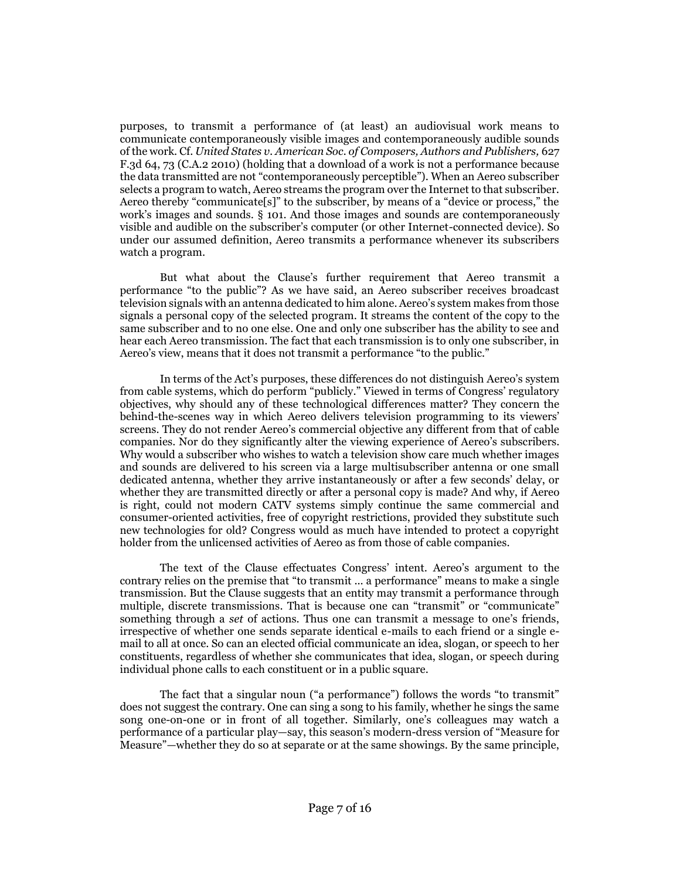purposes, to transmit a performance of (at least) an audiovisual work means to communicate contemporaneously visible images and contemporaneously audible sounds of the work. Cf. *[United States v. American Soc. of Composers, Authors and Publishers,](http://www.westlaw.com/Link/Document/FullText?findType=Y&serNum=2023159593&pubNum=506&originatingDoc=I41c16b35fc7311e3b4bafa136b480ad2&refType=RP&fi=co_pp_sp_506_73&originationContext=document&vr=3.0&rs=cblt1.0&transitionType=DocumentItem&contextData=(sc.Search)#co_pp_sp_506_73)* 627 [F.3d 64, 73 \(C.A.2 2010\)](http://www.westlaw.com/Link/Document/FullText?findType=Y&serNum=2023159593&pubNum=506&originatingDoc=I41c16b35fc7311e3b4bafa136b480ad2&refType=RP&fi=co_pp_sp_506_73&originationContext=document&vr=3.0&rs=cblt1.0&transitionType=DocumentItem&contextData=(sc.Search)#co_pp_sp_506_73) (holding that a download of a work is not a performance because the data transmitted are not "contemporaneously perceptible"). When an Aereo subscriber selects a program to watch, Aereo streams the program over the Internet to that subscriber. Aereo thereby "communicate[s]" to the subscriber, by means of a "device or process," the work's images and sounds. [§ 101.](http://www.westlaw.com/Link/Document/FullText?findType=L&pubNum=1000546&cite=17USCAS101&originatingDoc=I41c16b35fc7311e3b4bafa136b480ad2&refType=LQ&originationContext=document&vr=3.0&rs=cblt1.0&transitionType=DocumentItem&contextData=(sc.Search)) And those images and sounds are contemporaneously visible and audible on the subscriber's computer (or other Internet-connected device). So under our assumed definition, Aereo transmits a performance whenever its subscribers watch a program.

But what about the Clause's further requirement that Aereo transmit a performance "to the public"? As we have said, an Aereo subscriber receives broadcast television signals with an antenna dedicated to him alone. Aereo's system makes from those signals a personal copy of the selected program. It streams the content of the copy to the same subscriber and to no one else. One and only one subscriber has the ability to see and hear each Aereo transmission. The fact that each transmission is to only one subscriber, in Aereo's view, means that it does not transmit a performance "to the public."

In terms of the Act's purposes, these differences do not distinguish Aereo's system from cable systems, which do perform "publicly." Viewed in terms of Congress' regulatory objectives, why should any of these technological differences matter? They concern the behind-the-scenes way in which Aereo delivers television programming to its viewers' screens. They do not render Aereo's commercial objective any different from that of cable companies. Nor do they significantly alter the viewing experience of Aereo's subscribers. Why would a subscriber who wishes to watch a television show care much whether images and sounds are delivered to his screen via a large multisubscriber antenna or one small dedicated antenna, whether they arrive instantaneously or after a few seconds' delay, or whether they are transmitted directly or after a personal copy is made? And why, if Aereo is right, could not modern CATV systems simply continue the same commercial and consumer-oriented activities, free of copyright restrictions, provided they substitute such new technologies for old? Congress would as much have intended to protect a copyright holder from the unlicensed activities of Aereo as from those of cable companies.

The text of the Clause effectuates Congress' intent. Aereo's argument to the contrary relies on the premise that "to transmit ... a performance" means to make a single transmission. But the Clause suggests that an entity may transmit a performance through multiple, discrete transmissions. That is because one can "transmit" or "communicate" something through a *set* of actions. Thus one can transmit a message to one's friends, irrespective of whether one sends separate identical e-mails to each friend or a single email to all at once. So can an elected official communicate an idea, slogan, or speech to her constituents, regardless of whether she communicates that idea, slogan, or speech during individual phone calls to each constituent or in a public square.

The fact that a singular noun ("a performance") follows the words "to transmit" does not suggest the contrary. One can sing a song to his family, whether he sings the same song one-on-one or in front of all together. Similarly, one's colleagues may watch a performance of a particular play—say, this season's modern-dress version of "Measure for Measure"—whether they do so at separate or at the same showings. By the same principle,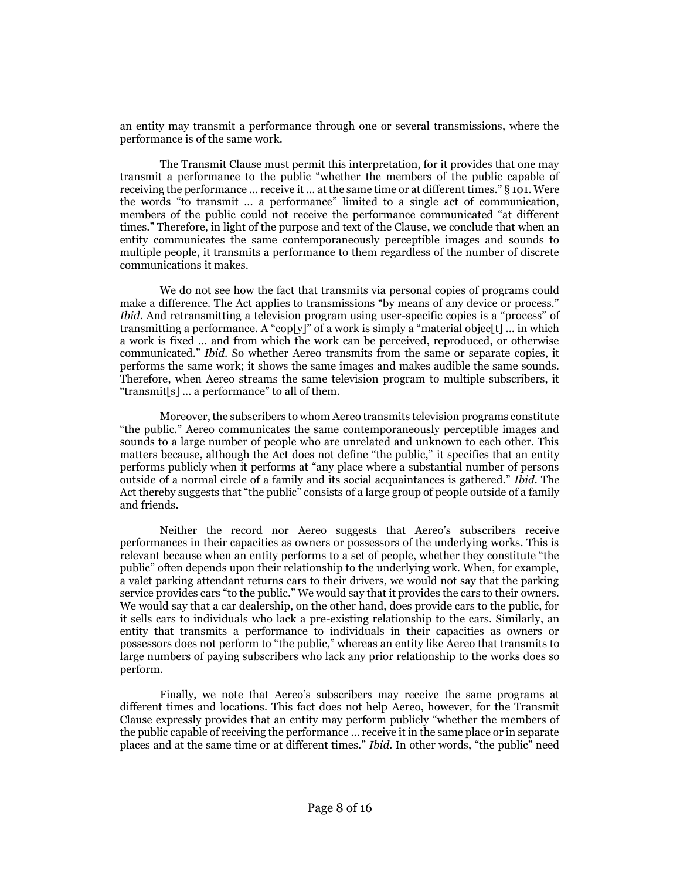an entity may transmit a performance through one or several transmissions, where the performance is of the same work.

The Transmit Clause must permit this interpretation, for it provides that one may transmit a performance to the public "whether the members of the public capable of receiving the performance ... receive it ... at the same time or at different times." [§ 101.](http://www.westlaw.com/Link/Document/FullText?findType=L&pubNum=1000546&cite=17USCAS101&originatingDoc=I41c16b35fc7311e3b4bafa136b480ad2&refType=LQ&originationContext=document&vr=3.0&rs=cblt1.0&transitionType=DocumentItem&contextData=(sc.Search)) Were the words "to transmit ... a performance" limited to a single act of communication, members of the public could not receive the performance communicated "at different times." Therefore, in light of the purpose and text of the Clause, we conclude that when an entity communicates the same contemporaneously perceptible images and sounds to multiple people, it transmits a performance to them regardless of the number of discrete communications it makes.

We do not see how the fact that transmits via personal copies of programs could make a difference. The Act applies to transmissions "by means of any device or process." *Ibid.* And retransmitting a television program using user-specific copies is a "process" of transmitting a performance. A "cop[y]" of a work is simply a "material objec[t] ... in which a work is fixed ... and from which the work can be perceived, reproduced, or otherwise communicated." *Ibid.* So whether Aereo transmits from the same or separate copies, it performs the same work; it shows the same images and makes audible the same sounds. Therefore, when Aereo streams the same television program to multiple subscribers, it "transmit[s] ... a performance" to all of them.

Moreover, the subscribers to whom Aereo transmits television programs constitute "the public." Aereo communicates the same contemporaneously perceptible images and sounds to a large number of people who are unrelated and unknown to each other. This matters because, although the Act does not define "the public," it specifies that an entity performs publicly when it performs at "any place where a substantial number of persons outside of a normal circle of a family and its social acquaintances is gathered." *Ibid.* The Act thereby suggests that "the public" consists of a large group of people outside of a family and friends.

Neither the record nor Aereo suggests that Aereo's subscribers receive performances in their capacities as owners or possessors of the underlying works. This is relevant because when an entity performs to a set of people, whether they constitute "the public" often depends upon their relationship to the underlying work. When, for example, a valet parking attendant returns cars to their drivers, we would not say that the parking service provides cars "to the public." We would say that it provides the cars to their owners. We would say that a car dealership, on the other hand, does provide cars to the public, for it sells cars to individuals who lack a pre-existing relationship to the cars. Similarly, an entity that transmits a performance to individuals in their capacities as owners or possessors does not perform to "the public," whereas an entity like Aereo that transmits to large numbers of paying subscribers who lack any prior relationship to the works does so perform.

Finally, we note that Aereo's subscribers may receive the same programs at different times and locations. This fact does not help Aereo, however, for the Transmit Clause expressly provides that an entity may perform publicly "whether the members of the public capable of receiving the performance ... receive it in the same place or in separate places and at the same time or at different times." *Ibid.* In other words, "the public" need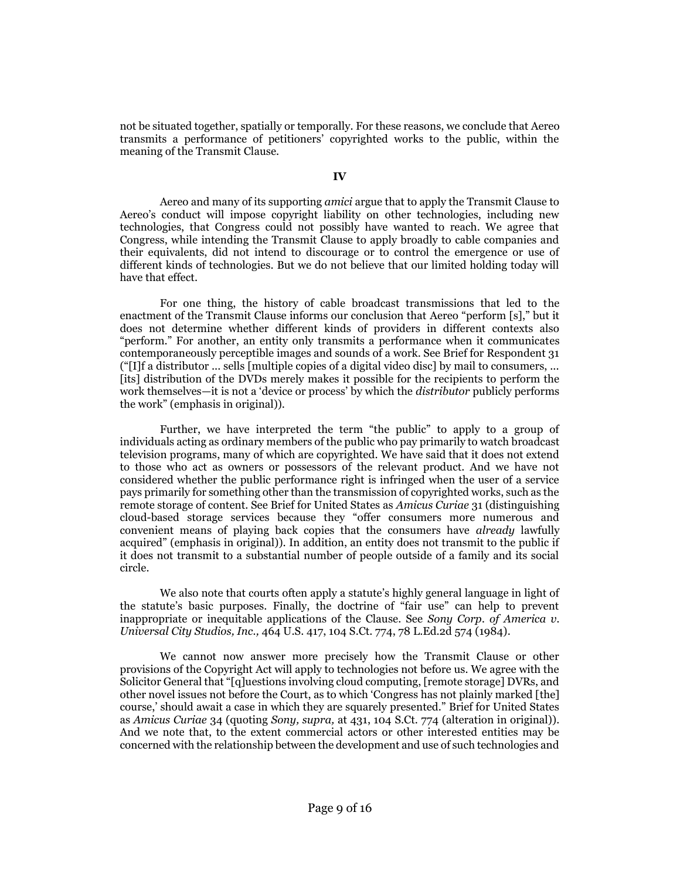not be situated together, spatially or temporally. For these reasons, we conclude that Aereo transmits a performance of petitioners' copyrighted works to the public, within the meaning of the Transmit Clause.

#### **IV**

Aereo and many of its supporting *amici* argue that to apply the Transmit Clause to Aereo's conduct will impose copyright liability on other technologies, including new technologies, that Congress could not possibly have wanted to reach. We agree that Congress, while intending the Transmit Clause to apply broadly to cable companies and their equivalents, did not intend to discourage or to control the emergence or use of different kinds of technologies. But we do not believe that our limited holding today will have that effect.

For one thing, the history of cable broadcast transmissions that led to the enactment of the Transmit Clause informs our conclusion that Aereo "perform [s]," but it does not determine whether different kinds of providers in different contexts also "perform." For another, an entity only transmits a performance when it communicates contemporaneously perceptible images and sounds of a work. See Brief for Respondent 31 ("[I]f a distributor ... sells [multiple copies of a digital video disc] by mail to consumers, ... [its] distribution of the DVDs merely makes it possible for the recipients to perform the work themselves—it is not a 'device or process' by which the *distributor* publicly performs the work" (emphasis in original)).

Further, we have interpreted the term "the public" to apply to a group of individuals acting as ordinary members of the public who pay primarily to watch broadcast television programs, many of which are copyrighted. We have said that it does not extend to those who act as owners or possessors of the relevant product. And we have not considered whether the public performance right is infringed when the user of a service pays primarily for something other than the transmission of copyrighted works, such as the remote storage of content. See Brief for United States as *Amicus Curiae* 31 (distinguishing cloud-based storage services because they "offer consumers more numerous and convenient means of playing back copies that the consumers have *already* lawfully acquired" (emphasis in original)). In addition, an entity does not transmit to the public if it does not transmit to a substantial number of people outside of a family and its social circle.

We also note that courts often apply a statute's highly general language in light of the statute's basic purposes. Finally, the doctrine of "fair use" can help to prevent inappropriate or inequitable applications of the Clause. See *[Sony Corp. of America v.](http://www.westlaw.com/Link/Document/FullText?findType=Y&serNum=1984103021&pubNum=708&originatingDoc=I41c16b35fc7311e3b4bafa136b480ad2&refType=RP&originationContext=document&vr=3.0&rs=cblt1.0&transitionType=DocumentItem&contextData=(sc.Search))  Universal City Studios, Inc.,* [464 U.S. 417, 104 S.Ct. 774, 78 L.Ed.2d 574 \(1984\).](http://www.westlaw.com/Link/Document/FullText?findType=Y&serNum=1984103021&pubNum=708&originatingDoc=I41c16b35fc7311e3b4bafa136b480ad2&refType=RP&originationContext=document&vr=3.0&rs=cblt1.0&transitionType=DocumentItem&contextData=(sc.Search))

We cannot now answer more precisely how the Transmit Clause or other provisions of the Copyright Act will apply to technologies not before us. We agree with the Solicitor General that "[q]uestions involving cloud computing, [remote storage] DVRs, and other novel issues not before the Court, as to which 'Congress has not plainly marked [the] course,' should await a case in which they are squarely presented." Brief for United States as *Amicus Curiae* 34 (quoting *Sony, supra,* [at 431, 104 S.Ct. 774](http://www.westlaw.com/Link/Document/FullText?findType=Y&serNum=1984103021&pubNum=708&originatingDoc=I41c16b35fc7311e3b4bafa136b480ad2&refType=RP&originationContext=document&vr=3.0&rs=cblt1.0&transitionType=DocumentItem&contextData=(sc.Search)) (alteration in original)). And we note that, to the extent commercial actors or other interested entities may be concerned with the relationship between the development and use of such technologies and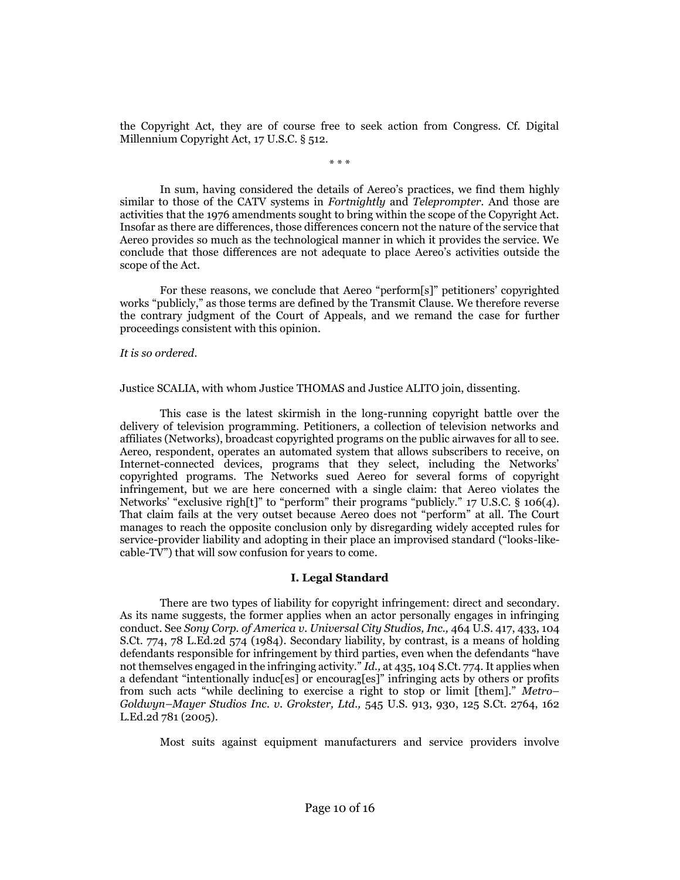the Copyright Act, they are of course free to seek action from Congress. Cf. Digital Millennium Copyright Act[, 17 U.S.C. § 512.](http://www.westlaw.com/Link/Document/FullText?findType=L&pubNum=1000546&cite=17USCAS512&originatingDoc=I41c16b35fc7311e3b4bafa136b480ad2&refType=LQ&originationContext=document&vr=3.0&rs=cblt1.0&transitionType=DocumentItem&contextData=(sc.Search))

\* \* \*

In sum, having considered the details of Aereo's practices, we find them highly similar to those of the CATV systems in *[Fortnightly](http://www.westlaw.com/Link/Document/FullText?findType=Y&serNum=1968131226&originatingDoc=I41c16b35fc7311e3b4bafa136b480ad2&refType=RP&originationContext=document&vr=3.0&rs=cblt1.0&transitionType=DocumentItem&contextData=(sc.Search))* and *[Teleprompter.](http://www.westlaw.com/Link/Document/FullText?findType=Y&serNum=1974127140&originatingDoc=I41c16b35fc7311e3b4bafa136b480ad2&refType=RP&originationContext=document&vr=3.0&rs=cblt1.0&transitionType=DocumentItem&contextData=(sc.Search))* And those are activities that the 1976 amendments sought to bring within the scope of the Copyright Act. Insofar as there are differences, those differences concern not the nature of the service that Aereo provides so much as the technological manner in which it provides the service. We conclude that those differences are not adequate to place Aereo's activities outside the scope of the Act.

For these reasons, we conclude that Aereo "perform[s]" petitioners' copyrighted works "publicly," as those terms are defined by the Transmit Clause. We therefore reverse the contrary judgment of the Court of Appeals, and we remand the case for further proceedings consistent with this opinion.

#### *It is so ordered.*

#### Justice [SCALIA,](http://www.westlaw.com/Link/Document/FullText?findType=h&pubNum=176284&cite=0254763301&originatingDoc=I41c16b35fc7311e3b4bafa136b480ad2&refType=RQ&originationContext=document&vr=3.0&rs=cblt1.0&transitionType=DocumentItem&contextData=(sc.Search)) with whom Justice [THOMAS](http://www.westlaw.com/Link/Document/FullText?findType=h&pubNum=176284&cite=0216654601&originatingDoc=I41c16b35fc7311e3b4bafa136b480ad2&refType=RQ&originationContext=document&vr=3.0&rs=cblt1.0&transitionType=DocumentItem&contextData=(sc.Search)) and Justic[e ALITO](http://www.westlaw.com/Link/Document/FullText?findType=h&pubNum=176284&cite=0153052401&originatingDoc=I41c16b35fc7311e3b4bafa136b480ad2&refType=RQ&originationContext=document&vr=3.0&rs=cblt1.0&transitionType=DocumentItem&contextData=(sc.Search)) join, dissenting.

This case is the latest skirmish in the long-running copyright battle over the delivery of television programming. Petitioners, a collection of television networks and affiliates (Networks), broadcast copyrighted programs on the public airwaves for all to see. Aereo, respondent, operates an automated system that allows subscribers to receive, on Internet-connected devices, programs that they select, including the Networks' copyrighted programs. The Networks sued Aereo for several forms of copyright infringement, but we are here concerned with a single claim: that Aereo violates the Networks' "exclusive righ[t]" to "perform" their programs "publicly." [17 U.S.C. § 106\(4\).](http://www.westlaw.com/Link/Document/FullText?findType=L&pubNum=1000546&cite=17USCAS106&originatingDoc=I41c16b35fc7311e3b4bafa136b480ad2&refType=RB&originationContext=document&vr=3.0&rs=cblt1.0&transitionType=DocumentItem&contextData=(sc.Search)#co_pp_0bd500007a412) That claim fails at the very outset because Aereo does not "perform" at all. The Court manages to reach the opposite conclusion only by disregarding widely accepted rules for service-provider liability and adopting in their place an improvised standard ("looks-likecable-TV") that will sow confusion for years to come.

### **I. Legal Standard**

There are two types of liability for copyright infringement: direct and secondary. As its name suggests, the former applies when an actor personally engages in infringing conduct. See *[Sony Corp. of America v. Universal City Studios, Inc.,](http://www.westlaw.com/Link/Document/FullText?findType=Y&serNum=1984103021&pubNum=708&originatingDoc=I41c16b35fc7311e3b4bafa136b480ad2&refType=RP&originationContext=document&vr=3.0&rs=cblt1.0&transitionType=DocumentItem&contextData=(sc.Search))* 464 U.S. 417, 433, 104 [S.Ct. 774, 78 L.Ed.2d 574 \(1984\).](http://www.westlaw.com/Link/Document/FullText?findType=Y&serNum=1984103021&pubNum=708&originatingDoc=I41c16b35fc7311e3b4bafa136b480ad2&refType=RP&originationContext=document&vr=3.0&rs=cblt1.0&transitionType=DocumentItem&contextData=(sc.Search)) Secondary liability, by contrast, is a means of holding defendants responsible for infringement by third parties, even when the defendants "have not themselves engaged in the infringing activity." *Id.,* [at 435, 104 S.Ct. 774.](http://www.westlaw.com/Link/Document/FullText?findType=Y&serNum=1984103021&pubNum=708&originatingDoc=I41c16b35fc7311e3b4bafa136b480ad2&refType=RP&originationContext=document&vr=3.0&rs=cblt1.0&transitionType=DocumentItem&contextData=(sc.Search)) It applies when a defendant "intentionally induc[es] or encourag[es]" infringing acts by others or profits from such acts "while declining to exercise a right to stop or limit [them]." *[Metro](http://www.westlaw.com/Link/Document/FullText?findType=Y&serNum=2006858550&pubNum=708&originatingDoc=I41c16b35fc7311e3b4bafa136b480ad2&refType=RP&originationContext=document&vr=3.0&rs=cblt1.0&transitionType=DocumentItem&contextData=(sc.Search))– Goldwyn–Mayer Studios Inc. v. Grokster, Ltd.,* [545 U.S. 913, 930, 125 S.Ct. 2764, 162](http://www.westlaw.com/Link/Document/FullText?findType=Y&serNum=2006858550&pubNum=708&originatingDoc=I41c16b35fc7311e3b4bafa136b480ad2&refType=RP&originationContext=document&vr=3.0&rs=cblt1.0&transitionType=DocumentItem&contextData=(sc.Search))  [L.Ed.2d 781 \(2005\).](http://www.westlaw.com/Link/Document/FullText?findType=Y&serNum=2006858550&pubNum=708&originatingDoc=I41c16b35fc7311e3b4bafa136b480ad2&refType=RP&originationContext=document&vr=3.0&rs=cblt1.0&transitionType=DocumentItem&contextData=(sc.Search))

Most suits against equipment manufacturers and service providers involve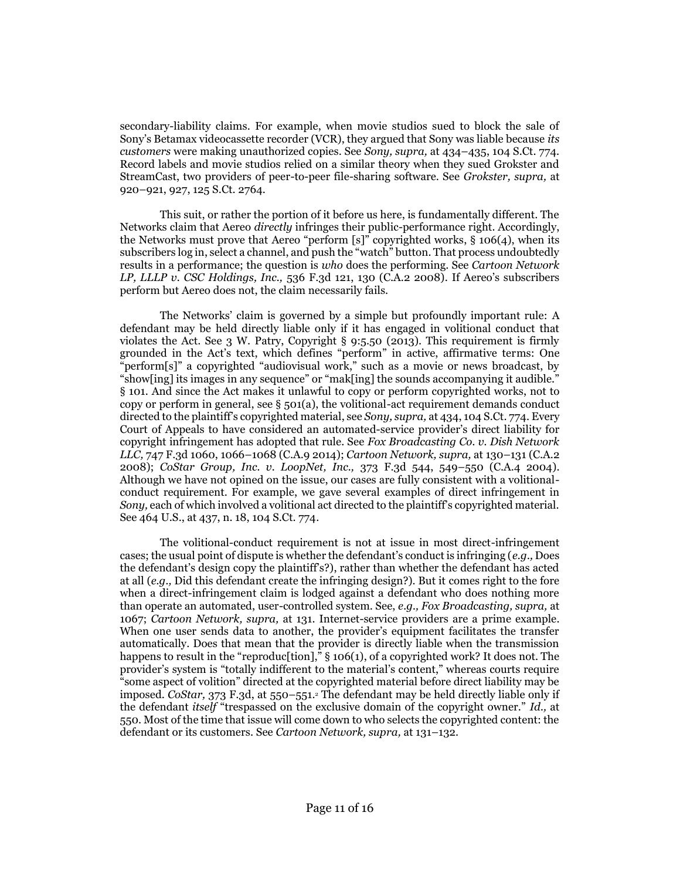secondary-liability claims. For example, when movie studios sued to block the sale of Sony's Betamax videocassette recorder (VCR), they argued that Sony was liable because *its customers* were making unauthorized copies. See *Sony, supra,* at 434–[435, 104 S.Ct. 774.](http://www.westlaw.com/Link/Document/FullText?findType=Y&serNum=1984103021&pubNum=708&originatingDoc=I41c16b35fc7311e3b4bafa136b480ad2&refType=RP&originationContext=document&vr=3.0&rs=cblt1.0&transitionType=DocumentItem&contextData=(sc.Search)) Record labels and movie studios relied on a similar theory when they sued Grokster and StreamCast, two providers of peer-to-peer file-sharing software. See *[Grokster, supra,](http://www.westlaw.com/Link/Document/FullText?findType=Y&serNum=2006858550&pubNum=708&originatingDoc=I41c16b35fc7311e3b4bafa136b480ad2&refType=RP&originationContext=document&vr=3.0&rs=cblt1.0&transitionType=DocumentItem&contextData=(sc.Search))* at 920–[921, 927, 125 S.Ct. 2764.](http://www.westlaw.com/Link/Document/FullText?findType=Y&serNum=2006858550&pubNum=708&originatingDoc=I41c16b35fc7311e3b4bafa136b480ad2&refType=RP&originationContext=document&vr=3.0&rs=cblt1.0&transitionType=DocumentItem&contextData=(sc.Search))

This suit, or rather the portion of it before us here, is fundamentally different. The Networks claim that Aereo *directly* infringes their public-performance right. Accordingly, the Networks must prove that Aereo "perform [s]" copyrighted works, [§ 106\(4\),](http://www.westlaw.com/Link/Document/FullText?findType=L&pubNum=1000546&cite=17USCAS106&originatingDoc=I41c16b35fc7311e3b4bafa136b480ad2&refType=RB&originationContext=document&vr=3.0&rs=cblt1.0&transitionType=DocumentItem&contextData=(sc.Search)#co_pp_0bd500007a412) when its subscribers log in, select a channel, and push the "watch" button. That process undoubtedly results in a performance; the question is *who* does the performing. See *[Cartoon Network](http://www.westlaw.com/Link/Document/FullText?findType=Y&serNum=2016676234&pubNum=506&originatingDoc=I41c16b35fc7311e3b4bafa136b480ad2&refType=RP&fi=co_pp_sp_506_130&originationContext=document&vr=3.0&rs=cblt1.0&transitionType=DocumentItem&contextData=(sc.Search)#co_pp_sp_506_130)  [LP, LLLP v. CSC Holdings, Inc.,](http://www.westlaw.com/Link/Document/FullText?findType=Y&serNum=2016676234&pubNum=506&originatingDoc=I41c16b35fc7311e3b4bafa136b480ad2&refType=RP&fi=co_pp_sp_506_130&originationContext=document&vr=3.0&rs=cblt1.0&transitionType=DocumentItem&contextData=(sc.Search)#co_pp_sp_506_130)* 536 F.3d 121, 130 (C.A.2 2008). If Aereo's subscribers perform but Aereo does not, the claim necessarily fails.

The Networks' claim is governed by a simple but profoundly important rule: A defendant may be held directly liable only if it has engaged in volitional conduct that violates the Act. See 3 W. Patry, Copyright § 9:5.50 (2013). This requirement is firmly grounded in the Act's text, which defines "perform" in active, affirmative terms: One "perform[s]" a copyrighted "audiovisual work," such as a movie or news broadcast, by "show[ing] its images in any sequence" or "mak[ing] the sounds accompanying it audible." [§ 101.](http://www.westlaw.com/Link/Document/FullText?findType=L&pubNum=1000546&cite=17USCAS101&originatingDoc=I41c16b35fc7311e3b4bafa136b480ad2&refType=LQ&originationContext=document&vr=3.0&rs=cblt1.0&transitionType=DocumentItem&contextData=(sc.Search)) And since the Act makes it unlawful to copy or perform copyrighted works, not to copy or perform in general, see  $\S$  501(a), the volitional-act requirement demands conduct directed to the plaintiff's copyrighted material, see *Sony, supra,* [at 434, 104 S.Ct. 774.](http://www.westlaw.com/Link/Document/FullText?findType=Y&serNum=1984103021&pubNum=708&originatingDoc=I41c16b35fc7311e3b4bafa136b480ad2&refType=RP&originationContext=document&vr=3.0&rs=cblt1.0&transitionType=DocumentItem&contextData=(sc.Search)) Every Court of Appeals to have considered an automated-service provider's direct liability for copyright infringement has adopted that rule. See *[Fox Broadcasting Co. v. Dish Network](http://www.westlaw.com/Link/Document/FullText?findType=Y&serNum=2032594628&pubNum=506&originatingDoc=I41c16b35fc7311e3b4bafa136b480ad2&refType=RP&fi=co_pp_sp_506_1066&originationContext=document&vr=3.0&rs=cblt1.0&transitionType=DocumentItem&contextData=(sc.Search)#co_pp_sp_506_1066)  LLC,* [747 F.3d 1060, 1066](http://www.westlaw.com/Link/Document/FullText?findType=Y&serNum=2032594628&pubNum=506&originatingDoc=I41c16b35fc7311e3b4bafa136b480ad2&refType=RP&fi=co_pp_sp_506_1066&originationContext=document&vr=3.0&rs=cblt1.0&transitionType=DocumentItem&contextData=(sc.Search)#co_pp_sp_506_1066)–1068 (C.A.9 2014); *[Cartoon Network,](http://www.westlaw.com/Link/Document/FullText?findType=Y&serNum=2016676234&originatingDoc=I41c16b35fc7311e3b4bafa136b480ad2&refType=RP&originationContext=document&vr=3.0&rs=cblt1.0&transitionType=DocumentItem&contextData=(sc.Search)) supra,* at 130–131 (C.A.2 [2008\);](http://www.westlaw.com/Link/Document/FullText?findType=Y&serNum=2016676234&originatingDoc=I41c16b35fc7311e3b4bafa136b480ad2&refType=RP&originationContext=document&vr=3.0&rs=cblt1.0&transitionType=DocumentItem&contextData=(sc.Search)) *[CoStar Group, Inc. v. LoopNet, Inc.,](http://www.westlaw.com/Link/Document/FullText?findType=Y&serNum=2004611747&pubNum=506&originatingDoc=I41c16b35fc7311e3b4bafa136b480ad2&refType=RP&fi=co_pp_sp_506_549&originationContext=document&vr=3.0&rs=cblt1.0&transitionType=DocumentItem&contextData=(sc.Search)#co_pp_sp_506_549)* 373 F.3d 544, 549–550 (C.A.4 2004). Although we have not opined on the issue, our cases are fully consistent with a volitionalconduct requirement. For example, we gave several examples of direct infringement in *[Sony,](http://www.westlaw.com/Link/Document/FullText?findType=Y&serNum=1984103021&originatingDoc=I41c16b35fc7311e3b4bafa136b480ad2&refType=RP&originationContext=document&vr=3.0&rs=cblt1.0&transitionType=DocumentItem&contextData=(sc.Search))* each of which involved a volitional act directed to the plaintiff's copyrighted material. Se[e 464 U.S., at 437, n. 18, 104 S.Ct. 774.](http://www.westlaw.com/Link/Document/FullText?findType=Y&serNum=1984103021&pubNum=708&originatingDoc=I41c16b35fc7311e3b4bafa136b480ad2&refType=RP&originationContext=document&vr=3.0&rs=cblt1.0&transitionType=DocumentItem&contextData=(sc.Search))

The volitional-conduct requirement is not at issue in most direct-infringement cases; the usual point of dispute is whether the defendant's conduct is infringing (*e.g.,* Does the defendant's design copy the plaintiff's?), rather than whether the defendant has acted at all (*e.g.,* Did this defendant create the infringing design?). But it comes right to the fore when a direct-infringement claim is lodged against a defendant who does nothing more than operate an automated, user-controlled system. See, *e.g., [Fox Broadcasting, supra,](http://www.westlaw.com/Link/Document/FullText?findType=Y&serNum=2032594628&originatingDoc=I41c16b35fc7311e3b4bafa136b480ad2&refType=RP&originationContext=document&vr=3.0&rs=cblt1.0&transitionType=DocumentItem&contextData=(sc.Search))* at [1067;](http://www.westlaw.com/Link/Document/FullText?findType=Y&serNum=2032594628&originatingDoc=I41c16b35fc7311e3b4bafa136b480ad2&refType=RP&originationContext=document&vr=3.0&rs=cblt1.0&transitionType=DocumentItem&contextData=(sc.Search)) *[Cartoon Network, supra,](http://www.westlaw.com/Link/Document/FullText?findType=Y&serNum=2016676234&originatingDoc=I41c16b35fc7311e3b4bafa136b480ad2&refType=RP&originationContext=document&vr=3.0&rs=cblt1.0&transitionType=DocumentItem&contextData=(sc.Search))* at 131. Internet-service providers are a prime example. When one user sends data to another, the provider's equipment facilitates the transfer automatically. Does that mean that the provider is directly liable when the transmission happens to result in the "reproduc[tion],"  $\S$  106(1), of a copyrighted work? It does not. The provider's system is "totally indifferent to the material's content," whereas courts require "some aspect of volition" directed at the copyrighted material before direct liability may be imposed. *CoStar,* [373 F.3d, at 550](http://www.westlaw.com/Link/Document/FullText?findType=Y&serNum=2004611747&pubNum=506&originatingDoc=I41c16b35fc7311e3b4bafa136b480ad2&refType=RP&fi=co_pp_sp_506_550&originationContext=document&vr=3.0&rs=cblt1.0&transitionType=DocumentItem&contextData=(sc.Search)#co_pp_sp_506_550)–551[.](http://www.westlaw.com/Link/Document/FullText?findType=Y&serNum=2004611747&pubNum=506&originatingDoc=I41c16b35fc7311e3b4bafa136b480ad2&refType=RP&fi=co_pp_sp_506_550&originationContext=document&vr=3.0&rs=cblt1.0&transitionType=DocumentItem&contextData=(sc.Search)#co_pp_sp_506_550)<sup>2</sup> The defendant may be held directly liable only if the defendant *itself* "trespassed on the exclusive domain of the copyright owner." *[Id.,](http://www.westlaw.com/Link/Document/FullText?findType=Y&serNum=2004611747&originatingDoc=I41c16b35fc7311e3b4bafa136b480ad2&refType=RP&originationContext=document&vr=3.0&rs=cblt1.0&transitionType=DocumentItem&contextData=(sc.Search))* at [550.](http://www.westlaw.com/Link/Document/FullText?findType=Y&serNum=2004611747&originatingDoc=I41c16b35fc7311e3b4bafa136b480ad2&refType=RP&originationContext=document&vr=3.0&rs=cblt1.0&transitionType=DocumentItem&contextData=(sc.Search)) Most of the time that issue will come down to who selects the copyrighted content: the defendant or its customers. See *[Cartoon Network, supra,](http://www.westlaw.com/Link/Document/FullText?findType=Y&serNum=2016676234&originatingDoc=I41c16b35fc7311e3b4bafa136b480ad2&refType=RP&originationContext=document&vr=3.0&rs=cblt1.0&transitionType=DocumentItem&contextData=(sc.Search))* at 131–132.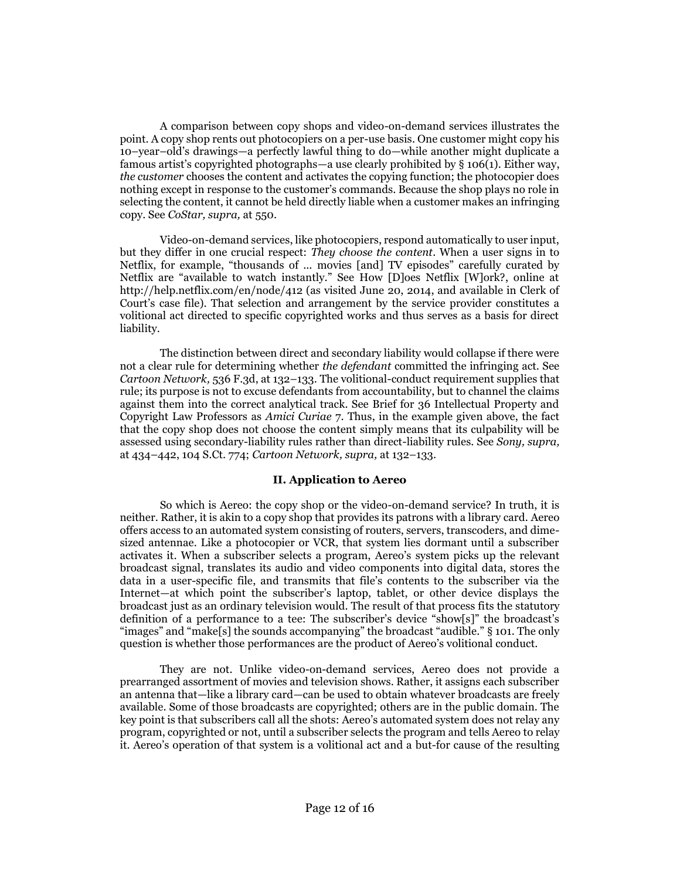A comparison between copy shops and video-on-demand services illustrates the point. A copy shop rents out photocopiers on a per-use basis. One customer might copy his 10–year–old's drawings—a perfectly lawful thing to do—while another might duplicate a famous artist's copyrighted photographs—a use clearly prohibited by [§ 106\(1\).](http://www.westlaw.com/Link/Document/FullText?findType=L&pubNum=1000546&cite=17USCAS106&originatingDoc=I41c16b35fc7311e3b4bafa136b480ad2&refType=RB&originationContext=document&vr=3.0&rs=cblt1.0&transitionType=DocumentItem&contextData=(sc.Search)#co_pp_f1c50000821b0) Either way, *the customer* chooses the content and activates the copying function; the photocopier does nothing except in response to the customer's commands. Because the shop plays no role in selecting the content, it cannot be held directly liable when a customer makes an infringing copy. See *[CoStar, supra,](http://www.westlaw.com/Link/Document/FullText?findType=Y&serNum=2004611747&originatingDoc=I41c16b35fc7311e3b4bafa136b480ad2&refType=RP&originationContext=document&vr=3.0&rs=cblt1.0&transitionType=DocumentItem&contextData=(sc.Search))* at 550.

Video-on-demand services, like photocopiers, respond automatically to user input, but they differ in one crucial respect: *They choose the content*. When a user signs in to Netflix, for example, "thousands of ... movies [and] TV episodes" carefully curated by Netflix are "available to watch instantly." See How [D]oes Netflix [W]ork?, online at http://help.netflix.com/en/node/412 (as visited June 20, 2014, and available in Clerk of Court's case file). That selection and arrangement by the service provider constitutes a volitional act directed to specific copyrighted works and thus serves as a basis for direct liability.

The distinction between direct and secondary liability would collapse if there were not a clear rule for determining whether *the defendant* committed the infringing act. See *[Cartoon Network,](http://www.westlaw.com/Link/Document/FullText?findType=Y&serNum=2016676234&pubNum=506&originatingDoc=I41c16b35fc7311e3b4bafa136b480ad2&refType=RP&fi=co_pp_sp_506_132&originationContext=document&vr=3.0&rs=cblt1.0&transitionType=DocumentItem&contextData=(sc.Search)#co_pp_sp_506_132)* 536 F.3d, at 132–133. The volitional-conduct requirement supplies that rule; its purpose is not to excuse defendants from accountability, but to channel the claims against them into the correct analytical track. See Brief for 36 Intellectual Property and Copyright Law Professors as *Amici Curiae* 7. Thus, in the example given above, the fact that the copy shop does not choose the content simply means that its culpability will be assessed using secondary-liability rules rather than direct-liability rules. See *[Sony, supra,](http://www.westlaw.com/Link/Document/FullText?findType=Y&serNum=1984103021&pubNum=708&originatingDoc=I41c16b35fc7311e3b4bafa136b480ad2&refType=RP&originationContext=document&vr=3.0&rs=cblt1.0&transitionType=DocumentItem&contextData=(sc.Search))* at 434–[442, 104 S.Ct. 774;](http://www.westlaw.com/Link/Document/FullText?findType=Y&serNum=1984103021&pubNum=708&originatingDoc=I41c16b35fc7311e3b4bafa136b480ad2&refType=RP&originationContext=document&vr=3.0&rs=cblt1.0&transitionType=DocumentItem&contextData=(sc.Search)) *[Cartoon Network,](http://www.westlaw.com/Link/Document/FullText?findType=Y&serNum=2016676234&originatingDoc=I41c16b35fc7311e3b4bafa136b480ad2&refType=RP&originationContext=document&vr=3.0&rs=cblt1.0&transitionType=DocumentItem&contextData=(sc.Search)) supra,* at 132–133.

#### **II. Application to Aereo**

So which is Aereo: the copy shop or the video-on-demand service? In truth, it is neither. Rather, it is akin to a copy shop that provides its patrons with a library card. Aereo offers access to an automated system consisting of routers, servers, transcoders, and dimesized antennae. Like a photocopier or VCR, that system lies dormant until a subscriber activates it. When a subscriber selects a program, Aereo's system picks up the relevant broadcast signal, translates its audio and video components into digital data, stores the data in a user-specific file, and transmits that file's contents to the subscriber via the Internet—at which point the subscriber's laptop, tablet, or other device displays the broadcast just as an ordinary television would. The result of that process fits the statutory definition of a performance to a tee: The subscriber's device "show[s]" the broadcast's "images" and "make[s] the sounds accompanying" the broadcast "audible." [§ 101.](http://www.westlaw.com/Link/Document/FullText?findType=L&pubNum=1000546&cite=17USCAS101&originatingDoc=I41c16b35fc7311e3b4bafa136b480ad2&refType=LQ&originationContext=document&vr=3.0&rs=cblt1.0&transitionType=DocumentItem&contextData=(sc.Search)) The only question is whether those performances are the product of Aereo's volitional conduct.

They are not. Unlike video-on-demand services, Aereo does not provide a prearranged assortment of movies and television shows. Rather, it assigns each subscriber an antenna that—like a library card—can be used to obtain whatever broadcasts are freely available. Some of those broadcasts are copyrighted; others are in the public domain. The key point is that subscribers call all the shots: Aereo's automated system does not relay any program, copyrighted or not, until a subscriber selects the program and tells Aereo to relay it. Aereo's operation of that system is a volitional act and a but-for cause of the resulting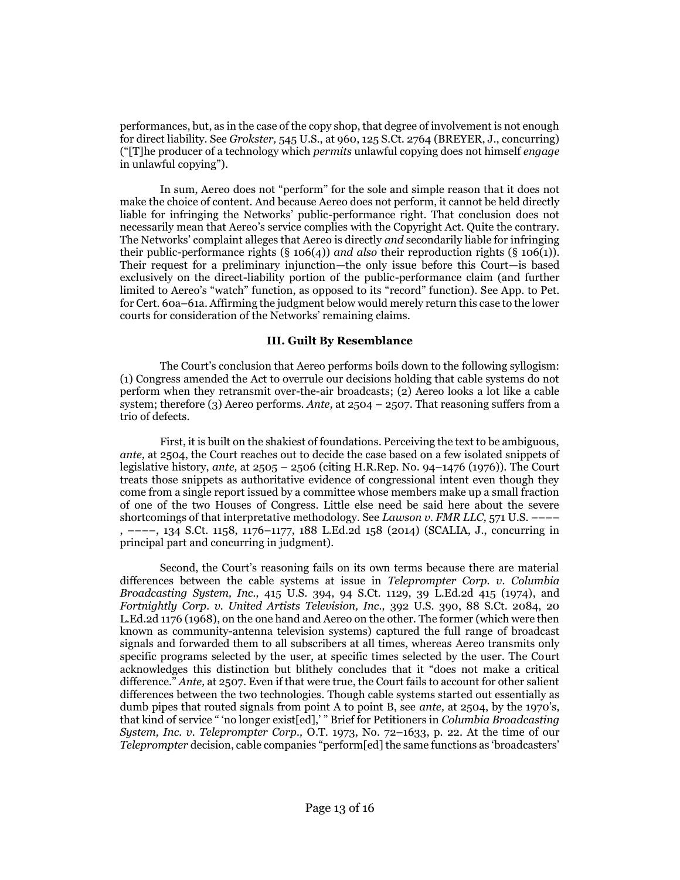performances, but, as in the case of the copy shop, that degree of involvement is not enough for direct liability. See *Grokster,* [545 U.S., at 960, 125 S.Ct. 2764](http://www.westlaw.com/Link/Document/FullText?findType=Y&serNum=2006858550&pubNum=708&originatingDoc=I41c16b35fc7311e3b4bafa136b480ad2&refType=RP&originationContext=document&vr=3.0&rs=cblt1.0&transitionType=DocumentItem&contextData=(sc.Search)) (BREYER, J., concurring) ("[T]he producer of a technology which *permits* unlawful copying does not himself *engage*  in unlawful copying").

In sum, Aereo does not "perform" for the sole and simple reason that it does not make the choice of content. And because Aereo does not perform, it cannot be held directly liable for infringing the Networks' public-performance right. That conclusion does not necessarily mean that Aereo's service complies with the Copyright Act. Quite the contrary. The Networks' complaint alleges that Aereo is directly *and* secondarily liable for infringing their public-performance rights [\(§ 106\(4\)\)](http://www.westlaw.com/Link/Document/FullText?findType=L&pubNum=1000546&cite=17USCAS106&originatingDoc=I41c16b35fc7311e3b4bafa136b480ad2&refType=RB&originationContext=document&vr=3.0&rs=cblt1.0&transitionType=DocumentItem&contextData=(sc.Search)#co_pp_0bd500007a412) *and also* their reproduction rights [\(§ 106\(1\)\)](http://www.westlaw.com/Link/Document/FullText?findType=L&pubNum=1000546&cite=17USCAS106&originatingDoc=I41c16b35fc7311e3b4bafa136b480ad2&refType=RB&originationContext=document&vr=3.0&rs=cblt1.0&transitionType=DocumentItem&contextData=(sc.Search)#co_pp_f1c50000821b0). Their request for a preliminary injunction—the only issue before this Court—is based exclusively on the direct-liability portion of the public-performance claim (and further limited to Aereo's "watch" function, as opposed to its "record" function). See App. to Pet. for Cert. 60a–61a. Affirming the judgment below would merely return this case to the lower courts for consideration of the Networks' remaining claims.

#### **III. Guilt By Resemblance**

The Court's conclusion that Aereo performs boils down to the following syllogism: (1) Congress amended the Act to overrule our decisions holding that cable systems do not perform when they retransmit over-the-air broadcasts; (2) Aereo looks a lot like a cable system; therefore (3) Aereo performs. *Ante,* at 2504 – 2507. That reasoning suffers from a trio of defects.

First, it is built on the shakiest of foundations. Perceiving the text to be ambiguous, *ante,* at 2504, the Court reaches out to decide the case based on a few isolated snippets of legislative history, *ante,* at 2505 – 2506 (citing [H.R.Rep. No. 94](http://www.westlaw.com/Link/Document/FullText?findType=Y&serNum=0100747631&pubNum=0100014&originatingDoc=I41c16b35fc7311e3b4bafa136b480ad2&refType=TV&originationContext=document&vr=3.0&rs=cblt1.0&transitionType=DocumentItem&contextData=(sc.Search))–1476 (1976)). The Court treats those snippets as authoritative evidence of congressional intent even though they come from a single report issued by a committee whose members make up a small fraction of one of the two Houses of Congress. Little else need be said here about the severe shortcomings of that interpretative methodology. See *[Lawson v. FMR LLC,](http://www.westlaw.com/Link/Document/FullText?findType=Y&serNum=2032817940&pubNum=708&originatingDoc=I41c16b35fc7311e3b4bafa136b480ad2&refType=RP&fi=co_pp_sp_708_1176&originationContext=document&vr=3.0&rs=cblt1.0&transitionType=DocumentItem&contextData=(sc.Search)#co_pp_sp_708_1176)* 571 U.S. –––– , ––––, 134 S.Ct. 1158, 1176–[1177, 188 L.Ed.2d 158](http://www.westlaw.com/Link/Document/FullText?findType=Y&serNum=2032817940&pubNum=708&originatingDoc=I41c16b35fc7311e3b4bafa136b480ad2&refType=RP&fi=co_pp_sp_708_1176&originationContext=document&vr=3.0&rs=cblt1.0&transitionType=DocumentItem&contextData=(sc.Search)#co_pp_sp_708_1176) (2014) (SCALIA, J., concurring in principal part and concurring in judgment).

Second, the Court's reasoning fails on its own terms because there are material differences between the cable systems at issue in *[Teleprompter Corp. v. Columbia](http://www.westlaw.com/Link/Document/FullText?findType=Y&serNum=1974127140&pubNum=708&originatingDoc=I41c16b35fc7311e3b4bafa136b480ad2&refType=RP&originationContext=document&vr=3.0&rs=cblt1.0&transitionType=DocumentItem&contextData=(sc.Search))  Broadcasting System, Inc.,* [415 U.S. 394, 94 S.Ct. 1129, 39 L.Ed.2d 415 \(1974\),](http://www.westlaw.com/Link/Document/FullText?findType=Y&serNum=1974127140&pubNum=708&originatingDoc=I41c16b35fc7311e3b4bafa136b480ad2&refType=RP&originationContext=document&vr=3.0&rs=cblt1.0&transitionType=DocumentItem&contextData=(sc.Search)) and *[Fortnightly Corp. v. United Artists Television, Inc.,](http://www.westlaw.com/Link/Document/FullText?findType=Y&serNum=1968131226&pubNum=708&originatingDoc=I41c16b35fc7311e3b4bafa136b480ad2&refType=RP&originationContext=document&vr=3.0&rs=cblt1.0&transitionType=DocumentItem&contextData=(sc.Search))* 392 U.S. 390, 88 S.Ct. 2084, 20 [L.Ed.2d 1176 \(1968\),](http://www.westlaw.com/Link/Document/FullText?findType=Y&serNum=1968131226&pubNum=708&originatingDoc=I41c16b35fc7311e3b4bafa136b480ad2&refType=RP&originationContext=document&vr=3.0&rs=cblt1.0&transitionType=DocumentItem&contextData=(sc.Search)) on the one hand and Aereo on the other. The former (which were then known as community-antenna television systems) captured the full range of broadcast signals and forwarded them to all subscribers at all times, whereas Aereo transmits only specific programs selected by the user, at specific times selected by the user. The Court acknowledges this distinction but blithely concludes that it "does not make a critical difference." *Ante,* at 2507. Even if that were true, the Court fails to account for other salient differences between the two technologies. Though cable systems started out essentially as dumb pipes that routed signals from point A to point B, see *ante,* at 2504, by the 1970's, that kind of service " 'no longer exist[ed],' " Brief for Petitioners in *Columbia Broadcasting System, Inc. v. Teleprompter Corp.,* O.T. 1973, No. 72–1633, p. 22. At the time of our *[Teleprompter](http://www.westlaw.com/Link/Document/FullText?findType=Y&serNum=1974127140&originatingDoc=I41c16b35fc7311e3b4bafa136b480ad2&refType=RP&originationContext=document&vr=3.0&rs=cblt1.0&transitionType=DocumentItem&contextData=(sc.Search))* decision, cable companies "perform[ed] the same functions as 'broadcasters'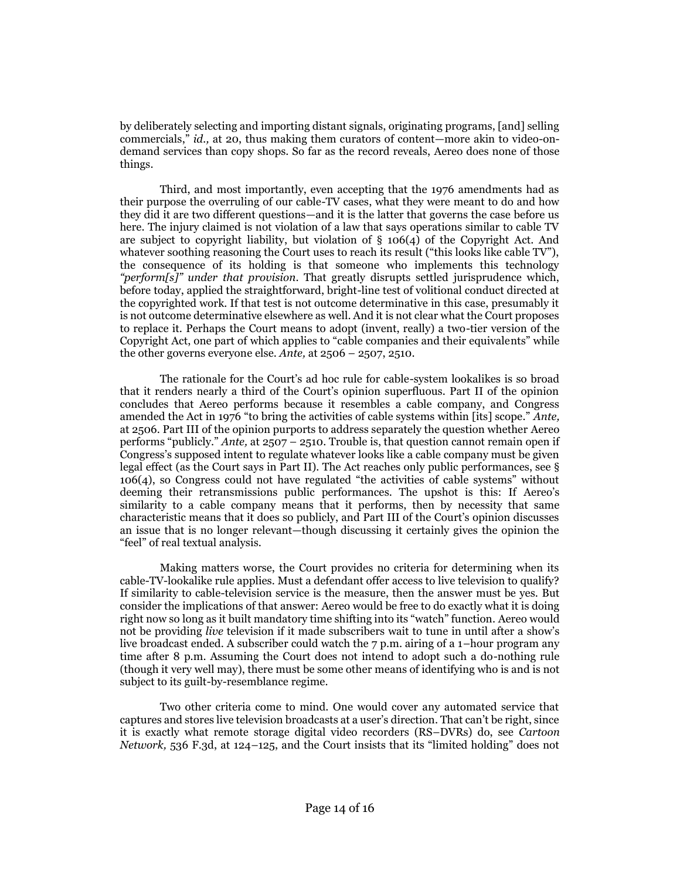by deliberately selecting and importing distant signals, originating programs, [and] selling commercials," *id.,* at 20, thus making them curators of content—more akin to video-ondemand services than copy shops. So far as the record reveals, Aereo does none of those things.

Third, and most importantly, even accepting that the 1976 amendments had as their purpose the overruling of our cable-TV cases, what they were meant to do and how they did it are two different questions—and it is the latter that governs the case before us here. The injury claimed is not violation of a law that says operations similar to cable TV are subject to copyright liability, but violation of § 106(4) of the Copyright Act. And whatever soothing reasoning the Court uses to reach its result ("this looks like cable TV"), the consequence of its holding is that someone who implements this technology *"perform[s]" under that provision*. That greatly disrupts settled jurisprudence which, before today, applied the straightforward, bright-line test of volitional conduct directed at the copyrighted work. If that test is not outcome determinative in this case, presumably it is not outcome determinative elsewhere as well. And it is not clear what the Court proposes to replace it. Perhaps the Court means to adopt (invent, really) a two-tier version of the Copyright Act, one part of which applies to "cable companies and their equivalents" while the other governs everyone else. *Ante,* at 2506 – 2507, 2510.

The rationale for the Court's ad hoc rule for cable-system lookalikes is so broad that it renders nearly a third of the Court's opinion superfluous. Part II of the opinion concludes that Aereo performs because it resembles a cable company, and Congress amended the Act in 1976 "to bring the activities of cable systems within [its] scope." *Ante,* at 2506. Part III of the opinion purports to address separately the question whether Aereo performs "publicly." *Ante,* at 2507 – 2510. Trouble is, that question cannot remain open if Congress's supposed intent to regulate whatever looks like a cable company must be given legal effect (as the Court says in Part II). The Act reaches only public performances, see [§](http://www.westlaw.com/Link/Document/FullText?findType=L&pubNum=1000546&cite=17USCAS106&originatingDoc=I41c16b35fc7311e3b4bafa136b480ad2&refType=RB&originationContext=document&vr=3.0&rs=cblt1.0&transitionType=DocumentItem&contextData=(sc.Search)#co_pp_0bd500007a412)  [106\(4\)](http://www.westlaw.com/Link/Document/FullText?findType=L&pubNum=1000546&cite=17USCAS106&originatingDoc=I41c16b35fc7311e3b4bafa136b480ad2&refType=RB&originationContext=document&vr=3.0&rs=cblt1.0&transitionType=DocumentItem&contextData=(sc.Search)#co_pp_0bd500007a412), so Congress could not have regulated "the activities of cable systems" without deeming their retransmissions public performances. The upshot is this: If Aereo's similarity to a cable company means that it performs, then by necessity that same characteristic means that it does so publicly, and Part III of the Court's opinion discusses an issue that is no longer relevant—though discussing it certainly gives the opinion the "feel" of real textual analysis.

Making matters worse, the Court provides no criteria for determining when its cable-TV-lookalike rule applies. Must a defendant offer access to live television to qualify? If similarity to cable-television service is the measure, then the answer must be yes. But consider the implications of that answer: Aereo would be free to do exactly what it is doing right now so long as it built mandatory time shifting into its "watch" function. Aereo would not be providing *live* television if it made subscribers wait to tune in until after a show's live broadcast ended. A subscriber could watch the 7 p.m. airing of a 1–hour program any time after 8 p.m. Assuming the Court does not intend to adopt such a do-nothing rule (though it very well may), there must be some other means of identifying who is and is not subject to its guilt-by-resemblance regime.

Two other criteria come to mind. One would cover any automated service that captures and stores live television broadcasts at a user's direction. That can't be right, since it is exactly what remote storage digital video recorders (RS–DVRs) do, see *[Cartoon](http://www.westlaw.com/Link/Document/FullText?findType=Y&serNum=2016676234&pubNum=506&originatingDoc=I41c16b35fc7311e3b4bafa136b480ad2&refType=RP&fi=co_pp_sp_506_124&originationContext=document&vr=3.0&rs=cblt1.0&transitionType=DocumentItem&contextData=(sc.Search)#co_pp_sp_506_124)  Network,* [536 F.3d, at 124](http://www.westlaw.com/Link/Document/FullText?findType=Y&serNum=2016676234&pubNum=506&originatingDoc=I41c16b35fc7311e3b4bafa136b480ad2&refType=RP&fi=co_pp_sp_506_124&originationContext=document&vr=3.0&rs=cblt1.0&transitionType=DocumentItem&contextData=(sc.Search)#co_pp_sp_506_124)–125, and the Court insists that its "limited holding" does not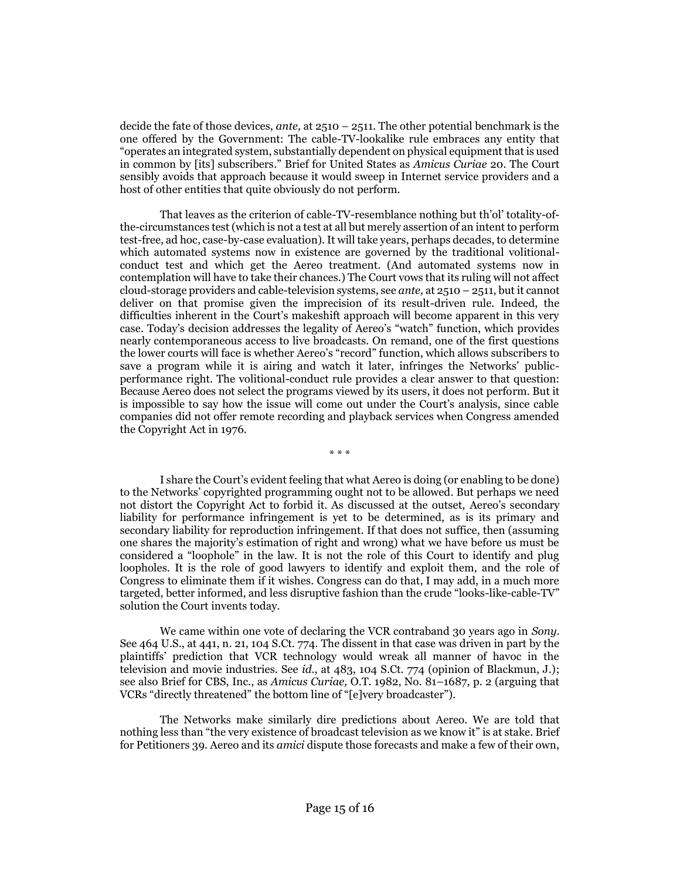decide the fate of those devices, *ante,* at 2510 – 2511. The other potential benchmark is the one offered by the Government: The cable-TV-lookalike rule embraces any entity that "operates an integrated system, substantially dependent on physical equipment that is used in common by [its] subscribers." Brief for United States as *Amicus Curiae* 20. The Court sensibly avoids that approach because it would sweep in Internet service providers and a host of other entities that quite obviously do not perform.

That leaves as the criterion of cable-TV-resemblance nothing but th'ol' totality-ofthe-circumstances test (which is not a test at all but merely assertion of an intent to perform test-free, ad hoc, case-by-case evaluation). It will take years, perhaps decades, to determine which automated systems now in existence are governed by the traditional volitionalconduct test and which get the Aereo treatment. (And automated systems now in contemplation will have to take their chances.) The Court vows that its ruling will not affect cloud-storage providers and cable-television systems, see *ante,* at 2510 – 2511, but it cannot deliver on that promise given the imprecision of its result-driven rule. Indeed, the difficulties inherent in the Court's makeshift approach will become apparent in this very case. Today's decision addresses the legality of Aereo's "watch" function, which provides nearly contemporaneous access to live broadcasts. On remand, one of the first questions the lower courts will face is whether Aereo's "record" function, which allows subscribers to save a program while it is airing and watch it later, infringes the Networks' publicperformance right. The volitional-conduct rule provides a clear answer to that question: Because Aereo does not select the programs viewed by its users, it does not perform. But it is impossible to say how the issue will come out under the Court's analysis, since cable companies did not offer remote recording and playback services when Congress amended the Copyright Act in 1976.

\* \* \*

I share the Court's evident feeling that what Aereo is doing (or enabling to be done) to the Networks' copyrighted programming ought not to be allowed. But perhaps we need not distort the Copyright Act to forbid it. As discussed at the outset, Aereo's secondary liability for performance infringement is yet to be determined, as is its primary and secondary liability for reproduction infringement. If that does not suffice, then (assuming one shares the majority's estimation of right and wrong) what we have before us must be considered a "loophole" in the law. It is not the role of this Court to identify and plug loopholes. It is the role of good lawyers to identify and exploit them, and the role of Congress to eliminate them if it wishes. Congress can do that, I may add, in a much more targeted, better informed, and less disruptive fashion than the crude "looks-like-cable-TV" solution the Court invents today.

We came within one vote of declaring the VCR contraband 30 years ago in *[Sony](http://www.westlaw.com/Link/Document/FullText?findType=Y&serNum=1984103021&originatingDoc=I41c16b35fc7311e3b4bafa136b480ad2&refType=RP&originationContext=document&vr=3.0&rs=cblt1.0&transitionType=DocumentItem&contextData=(sc.Search))*. Se[e 464 U.S., at 441, n. 21, 104 S.Ct. 774.](http://www.westlaw.com/Link/Document/FullText?findType=Y&serNum=1984103021&pubNum=708&originatingDoc=I41c16b35fc7311e3b4bafa136b480ad2&refType=RP&originationContext=document&vr=3.0&rs=cblt1.0&transitionType=DocumentItem&contextData=(sc.Search)) The dissent in that case was driven in part by the plaintiffs' prediction that VCR technology would wreak all manner of havoc in the television and movie industries. See *id*[., at 483, 104 S.Ct. 774 \(opinion of Blackmun, J.\);](http://www.westlaw.com/Link/Document/FullText?findType=Y&serNum=1984103021&pubNum=708&originatingDoc=I41c16b35fc7311e3b4bafa136b480ad2&refType=RP&originationContext=document&vr=3.0&rs=cblt1.0&transitionType=DocumentItem&contextData=(sc.Search)) see also Brief for CBS, Inc., as *Amicus Curiae,* O.T. 1982, No. 81–1687, p. 2 (arguing that VCRs "directly threatened" the bottom line of "[e]very broadcaster").

The Networks make similarly dire predictions about Aereo. We are told that nothing less than "the very existence of broadcast television as we know it" is at stake. Brief for Petitioners 39. Aereo and its *amici* dispute those forecasts and make a few of their own,